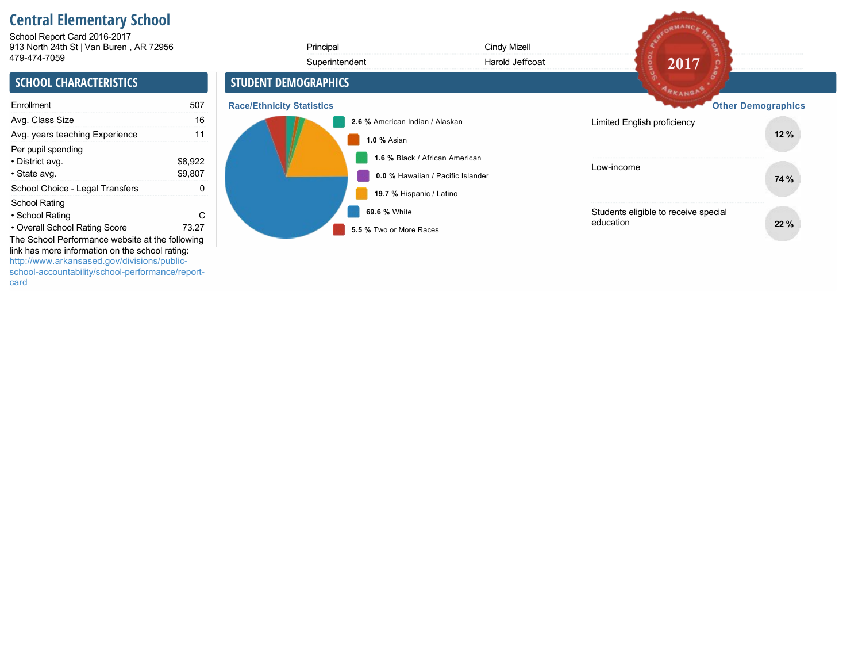# **Central Elementary School**

913 North 24th St | Van Buren , AR 72956 School Report Card 2016-2017

| 913 North 24th St   Van Buren, AR 72956                                                                                                                                 |                    |                                  | Principal                               | Cindy Mizell                                                        |                                                   |                           |
|-------------------------------------------------------------------------------------------------------------------------------------------------------------------------|--------------------|----------------------------------|-----------------------------------------|---------------------------------------------------------------------|---------------------------------------------------|---------------------------|
| 479-474-7059                                                                                                                                                            |                    |                                  | Superintendent                          | Harold Jeffcoat                                                     | 2017                                              |                           |
| <b>SCHOOL CHARACTERISTICS</b>                                                                                                                                           |                    | <b>STUDENT DEMOGRAPHICS</b>      |                                         |                                                                     | ARKANSAS                                          |                           |
| Enrollment                                                                                                                                                              | 507                | <b>Race/Ethnicity Statistics</b> |                                         |                                                                     |                                                   | <b>Other Demographics</b> |
| Avg. Class Size                                                                                                                                                         | 16                 |                                  | 2.6 % American Indian / Alaskan         |                                                                     | Limited English proficiency                       |                           |
| Avg. years teaching Experience                                                                                                                                          | 11                 |                                  | 1.0 % Asian                             |                                                                     |                                                   | 12%                       |
| Per pupil spending<br>• District avg.<br>• State avg.                                                                                                                   | \$8,922<br>\$9,807 |                                  |                                         | 1.6 % Black / African American<br>0.0 % Hawaiian / Pacific Islander | Low-income                                        | 74 %                      |
| School Choice - Legal Transfers                                                                                                                                         | 0                  |                                  | 19.7 % Hispanic / Latino                |                                                                     |                                                   |                           |
| School Rating<br>• School Rating<br>• Overall School Rating Score<br>The School Performance website at the following<br>link has more information on the school rating: | C<br>73.27         |                                  | 69.6 % White<br>5.5 % Two or More Races |                                                                     | Students eligible to receive special<br>education | 22 %                      |
| http://www.arkansased.gov/divisions/public-<br>school-accountability/school-performance/report-                                                                         |                    |                                  |                                         |                                                                     |                                                   |                           |

AFORMANCE RE

card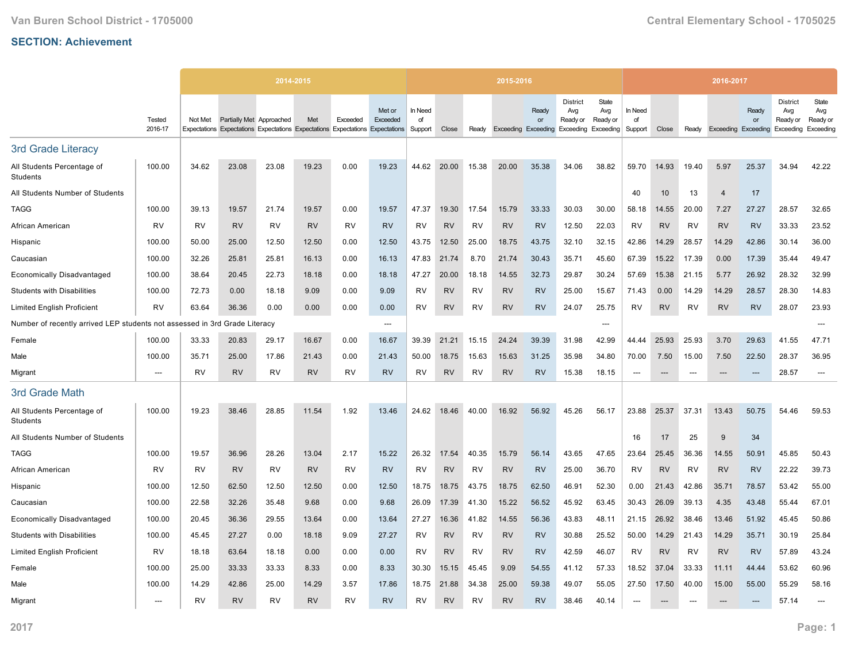|                                                             |                   |           |                          | 2014-2015                                                                     |           |           |                    |                          |           |           | 2015-2016 |                                           |                                                                  |                                 |                          |           |           | 2016-2017                  |             |                                                 |                                              |
|-------------------------------------------------------------|-------------------|-----------|--------------------------|-------------------------------------------------------------------------------|-----------|-----------|--------------------|--------------------------|-----------|-----------|-----------|-------------------------------------------|------------------------------------------------------------------|---------------------------------|--------------------------|-----------|-----------|----------------------------|-------------|-------------------------------------------------|----------------------------------------------|
|                                                             | Tested<br>2016-17 | Not Met   | Partially Met Approached | Expectations Expectations Expectations Expectations Expectations Expectations | Met       | Exceeded  | Met or<br>Exceeded | In Need<br>of<br>Support | Close     | Ready     |           | Ready<br>or<br><b>Exceeding Exceeding</b> | <b>District</b><br>Avg<br>Ready or<br><b>Exceeding Exceeding</b> | <b>State</b><br>Avg<br>Ready or | In Need<br>of<br>Support | Close     | Ready     | <b>Exceeding Exceeding</b> | Ready<br>or | <b>District</b><br>Avg<br>Ready or<br>Exceeding | <b>State</b><br>Avg<br>Ready or<br>Exceeding |
|                                                             |                   |           |                          |                                                                               |           |           |                    |                          |           |           |           |                                           |                                                                  |                                 |                          |           |           |                            |             |                                                 |                                              |
| 3rd Grade Literacy                                          |                   |           |                          |                                                                               |           |           |                    |                          |           |           |           |                                           |                                                                  |                                 |                          |           |           |                            |             |                                                 |                                              |
| All Students Percentage of<br>Students                      | 100.00            | 34.62     | 23.08                    | 23.08                                                                         | 19.23     | 0.00      | 19.23              | 44.62                    | 20.00     | 15.38     | 20.00     | 35.38                                     | 34.06                                                            | 38.82                           | 59.70                    | 14.93     | 19.40     | 5.97                       | 25.37       | 34.94                                           | 42.22                                        |
| All Students Number of Students                             |                   |           |                          |                                                                               |           |           |                    |                          |           |           |           |                                           |                                                                  |                                 | 40                       | 10        | 13        | $\overline{4}$             | 17          |                                                 |                                              |
| <b>TAGG</b>                                                 | 100.00            | 39.13     | 19.57                    | 21.74                                                                         | 19.57     | 0.00      | 19.57              | 47.37                    | 19.30     | 17.54     | 15.79     | 33.33                                     | 30.03                                                            | 30.00                           | 58.18                    | 14.55     | 20.00     | 7.27                       | 27.27       | 28.57                                           | 32.65                                        |
| African American                                            | <b>RV</b>         | RV        | <b>RV</b>                | RV                                                                            | <b>RV</b> | <b>RV</b> | <b>RV</b>          | RV                       | <b>RV</b> | RV        | <b>RV</b> | <b>RV</b>                                 | 12.50                                                            | 22.03                           | <b>RV</b>                | <b>RV</b> | <b>RV</b> | <b>RV</b>                  | <b>RV</b>   | 33.33                                           | 23.52                                        |
| Hispanic                                                    | 100.00            | 50.00     | 25.00                    | 12.50                                                                         | 12.50     | 0.00      | 12.50              | 43.75                    | 12.50     | 25.00     | 18.75     | 43.75                                     | 32.10                                                            | 32.15                           | 42.86                    | 14.29     | 28.57     | 14.29                      | 42.86       | 30.14                                           | 36.00                                        |
| Caucasian                                                   | 100.00            | 32.26     | 25.81                    | 25.81                                                                         | 16.13     | 0.00      | 16.13              | 47.83                    | 21.74     | 8.70      | 21.74     | 30.43                                     | 35.71                                                            | 45.60                           | 67.39                    | 15.22     | 17.39     | 0.00                       | 17.39       | 35.44                                           | 49.47                                        |
| <b>Economically Disadvantaged</b>                           | 100.00            | 38.64     | 20.45                    | 22.73                                                                         | 18.18     | 0.00      | 18.18              | 47.27                    | 20.00     | 18.18     | 14.55     | 32.73                                     | 29.87                                                            | 30.24                           | 57.69                    | 15.38     | 21.15     | 5.77                       | 26.92       | 28.32                                           | 32.99                                        |
| <b>Students with Disabilities</b>                           | 100.00            | 72.73     | 0.00                     | 18.18                                                                         | 9.09      | 0.00      | 9.09               | RV                       | <b>RV</b> | RV        | <b>RV</b> | <b>RV</b>                                 | 25.00                                                            | 15.67                           | 71.43                    | 0.00      | 14.29     | 14.29                      | 28.57       | 28.30                                           | 14.83                                        |
| <b>Limited English Proficient</b>                           | <b>RV</b>         | 63.64     | 36.36                    | 0.00                                                                          | 0.00      | 0.00      | 0.00               | <b>RV</b>                | <b>RV</b> | <b>RV</b> | <b>RV</b> | <b>RV</b>                                 | 24.07                                                            | 25.75                           | <b>RV</b>                | <b>RV</b> | <b>RV</b> | <b>RV</b>                  | <b>RV</b>   | 28.07                                           | 23.93                                        |
| Number of recently arrived LEP students not assessed in 3rd |                   |           | Grade Literacy           |                                                                               |           |           | ---                |                          |           |           |           |                                           |                                                                  | ---                             |                          |           |           |                            |             |                                                 |                                              |
| Female                                                      | 100.00            | 33.33     | 20.83                    | 29.17                                                                         | 16.67     | 0.00      | 16.67              | 39.39                    | 21.21     | 15.15     | 24.24     | 39.39                                     | 31.98                                                            | 42.99                           | 44.44                    | 25.93     | 25.93     | 3.70                       | 29.63       | 41.55                                           | 47.71                                        |
| Male                                                        | 100.00            | 35.71     | 25.00                    | 17.86                                                                         | 21.43     | 0.00      | 21.43              | 50.00                    | 18.75     | 15.63     | 15.63     | 31.25                                     | 35.98                                                            | 34.80                           | 70.00                    | 7.50      | 15.00     | 7.50                       | 22.50       | 28.37                                           | 36.95                                        |
| Migrant                                                     | $\overline{a}$    | <b>RV</b> | <b>RV</b>                | <b>RV</b>                                                                     | <b>RV</b> | <b>RV</b> | <b>RV</b>          | <b>RV</b>                | <b>RV</b> | RV        | <b>RV</b> | <b>RV</b>                                 | 15.38                                                            | 18.15                           |                          |           |           |                            |             | 28.57                                           | ---                                          |
| 3rd Grade Math                                              |                   |           |                          |                                                                               |           |           |                    |                          |           |           |           |                                           |                                                                  |                                 |                          |           |           |                            |             |                                                 |                                              |
| All Students Percentage of<br>Students                      | 100.00            | 19.23     | 38.46                    | 28.85                                                                         | 11.54     | 1.92      | 13.46              | 24.62                    | 18.46     | 40.00     | 16.92     | 56.92                                     | 45.26                                                            | 56.17                           | 23.88                    | 25.37     | 37.31     | 13.43                      | 50.75       | 54.46                                           | 59.53                                        |
| All Students Number of Students                             |                   |           |                          |                                                                               |           |           |                    |                          |           |           |           |                                           |                                                                  |                                 | 16                       | 17        | 25        | 9                          | 34          |                                                 |                                              |
| <b>TAGG</b>                                                 | 100.00            | 19.57     | 36.96                    | 28.26                                                                         | 13.04     | 2.17      | 15.22              | 26.32                    | 17.54     | 40.35     | 15.79     | 56.14                                     | 43.65                                                            | 47.65                           | 23.64                    | 25.45     | 36.36     | 14.55                      | 50.91       | 45.85                                           | 50.43                                        |
| African American                                            | <b>RV</b>         | <b>RV</b> | <b>RV</b>                | <b>RV</b>                                                                     | <b>RV</b> | <b>RV</b> | <b>RV</b>          | <b>RV</b>                | <b>RV</b> | RV        | <b>RV</b> | <b>RV</b>                                 | 25.00                                                            | 36.70                           | <b>RV</b>                | <b>RV</b> | <b>RV</b> | <b>RV</b>                  | <b>RV</b>   | 22.22                                           | 39.73                                        |
| Hispanic                                                    | 100.00            | 12.50     | 62.50                    | 12.50                                                                         | 12.50     | 0.00      | 12.50              | 18.75                    | 18.75     | 43.75     | 18.75     | 62.50                                     | 46.91                                                            | 52.30                           | 0.00                     | 21.43     | 42.86     | 35.71                      | 78.57       | 53.42                                           | 55.00                                        |
| Caucasian                                                   | 100.00            | 22.58     | 32.26                    | 35.48                                                                         | 9.68      | 0.00      | 9.68               | 26.09                    | 17.39     | 41.30     | 15.22     | 56.52                                     | 45.92                                                            | 63.45                           | 30.43                    | 26.09     | 39.13     | 4.35                       | 43.48       | 55.44                                           | 67.01                                        |
| <b>Economically Disadvantaged</b>                           | 100.00            | 20.45     | 36.36                    | 29.55                                                                         | 13.64     | 0.00      | 13.64              | 27.27                    | 16.36     | 41.82     | 14.55     | 56.36                                     | 43.83                                                            | 48.11                           | 21.15                    | 26.92     | 38.46     | 13.46                      | 51.92       | 45.45                                           | 50.86                                        |
| <b>Students with Disabilities</b>                           | 100.00            | 45.45     | 27.27                    | 0.00                                                                          | 18.18     | 9.09      | 27.27              | <b>RV</b>                | <b>RV</b> | <b>RV</b> | <b>RV</b> | <b>RV</b>                                 | 30.88                                                            | 25.52                           | 50.00                    | 14.29     | 21.43     | 14.29                      | 35.71       | 30.19                                           | 25.84                                        |
| <b>Limited English Proficient</b>                           | RV                | 18.18     | 63.64                    | 18.18                                                                         | 0.00      | 0.00      | 0.00               | RV                       | <b>RV</b> | <b>RV</b> | RV        | <b>RV</b>                                 | 42.59                                                            | 46.07                           | <b>RV</b>                | <b>RV</b> | <b>RV</b> | <b>RV</b>                  | <b>RV</b>   | 57.89                                           | 43.24                                        |
| Female                                                      | 100.00            | 25.00     | 33.33                    | 33.33                                                                         | 8.33      | 0.00      | 8.33               | 30.30                    | 15.15     | 45.45     | 9.09      | 54.55                                     | 41.12                                                            | 57.33                           | 18.52                    | 37.04     | 33.33     | 11.11                      | 44.44       | 53.62                                           | 60.96                                        |
| Male                                                        | 100.00            | 14.29     | 42.86                    | 25.00                                                                         | 14.29     | 3.57      | 17.86              | 18.75                    | 21.88     | 34.38     | 25.00     | 59.38                                     | 49.07                                                            | 55.05                           | 27.50                    | 17.50     | 40.00     | 15.00                      | 55.00       | 55.29                                           | 58.16                                        |
| Migrant                                                     | ---               | RV        | <b>RV</b>                | <b>RV</b>                                                                     | <b>RV</b> | <b>RV</b> | <b>RV</b>          | RV                       | <b>RV</b> | RV        | <b>RV</b> | <b>RV</b>                                 | 38.46                                                            | 40.14                           | ---                      |           |           |                            | ---         | 57.14                                           | $\overline{a}$                               |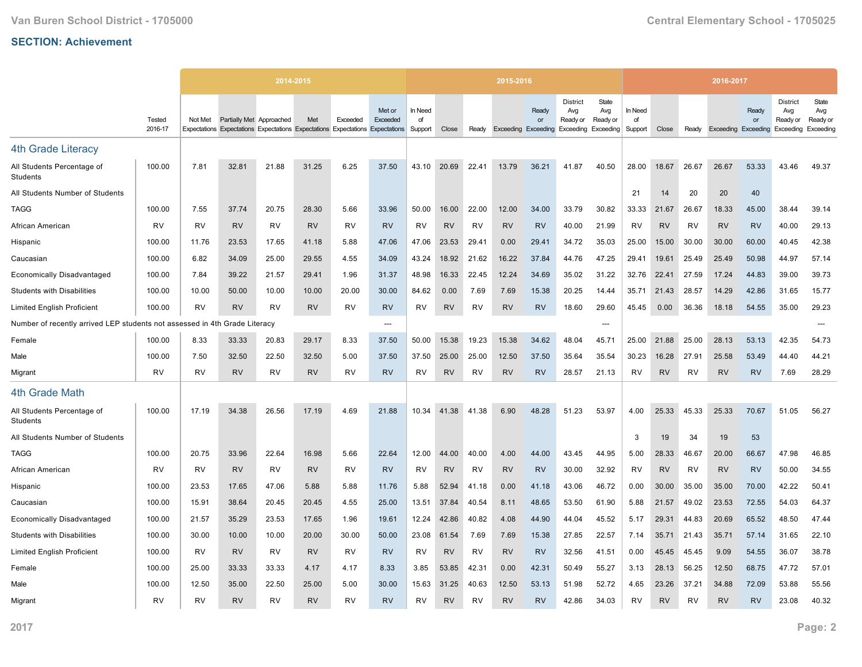|                                                             |                   |           |                          | 2014-2015                                                                     |           |           |                          |                          |           |           | 2015-2016 |                                           |                                    |                                                        |                          |           |           | 2016-2017                  |             |                                                 |                                       |
|-------------------------------------------------------------|-------------------|-----------|--------------------------|-------------------------------------------------------------------------------|-----------|-----------|--------------------------|--------------------------|-----------|-----------|-----------|-------------------------------------------|------------------------------------|--------------------------------------------------------|--------------------------|-----------|-----------|----------------------------|-------------|-------------------------------------------------|---------------------------------------|
|                                                             | Tested<br>2016-17 | Not Met   | Partially Met Approached | Expectations Expectations Expectations Expectations Expectations Expectations | Met       | Exceeded  | Met or<br>Exceeded       | In Need<br>of<br>Support | Close     | Ready     |           | Ready<br>or<br><b>Exceeding Exceeding</b> | <b>District</b><br>Avg<br>Ready or | State<br>Avg<br>Ready or<br><b>Exceeding Exceeding</b> | In Need<br>of<br>Support | Close     | Ready     | <b>Exceeding Exceeding</b> | Ready<br>or | <b>District</b><br>Avg<br>Ready or<br>Exceeding | State<br>Avg<br>Ready or<br>Exceeding |
| <b>4th Grade Literacy</b>                                   |                   |           |                          |                                                                               |           |           |                          |                          |           |           |           |                                           |                                    |                                                        |                          |           |           |                            |             |                                                 |                                       |
| All Students Percentage of<br>Students                      | 100.00            | 7.81      | 32.81                    | 21.88                                                                         | 31.25     | 6.25      | 37.50                    | 43.10                    | 20.69     | 22.41     | 13.79     | 36.21                                     | 41.87                              | 40.50                                                  | 28.00                    | 18.67     | 26.67     | 26.67                      | 53.33       | 43.46                                           | 49.37                                 |
| All Students Number of Students                             |                   |           |                          |                                                                               |           |           |                          |                          |           |           |           |                                           |                                    |                                                        | 21                       | 14        | 20        | 20                         | 40          |                                                 |                                       |
| <b>TAGG</b>                                                 | 100.00            | 7.55      | 37.74                    | 20.75                                                                         | 28.30     | 5.66      | 33.96                    | 50.00                    | 16.00     | 22.00     | 12.00     | 34.00                                     | 33.79                              | 30.82                                                  | 33.33                    | 21.67     | 26.67     | 18.33                      | 45.00       | 38.44                                           | 39.14                                 |
| African American                                            | <b>RV</b>         | RV        | <b>RV</b>                | RV                                                                            | <b>RV</b> | RV        | <b>RV</b>                | RV                       | <b>RV</b> | RV        | <b>RV</b> | <b>RV</b>                                 | 40.00                              | 21.99                                                  | RV                       | <b>RV</b> | RV        | <b>RV</b>                  | <b>RV</b>   | 40.00                                           | 29.13                                 |
| Hispanic                                                    | 100.00            | 11.76     | 23.53                    | 17.65                                                                         | 41.18     | 5.88      | 47.06                    | 47.06                    | 23.53     | 29.41     | 0.00      | 29.41                                     | 34.72                              | 35.03                                                  | 25.00                    | 15.00     | 30.00     | 30.00                      | 60.00       | 40.45                                           | 42.38                                 |
| Caucasian                                                   | 100.00            | 6.82      | 34.09                    | 25.00                                                                         | 29.55     | 4.55      | 34.09                    | 43.24                    | 18.92     | 21.62     | 16.22     | 37.84                                     | 44.76                              | 47.25                                                  | 29.41                    | 19.61     | 25.49     | 25.49                      | 50.98       | 44.97                                           | 57.14                                 |
| <b>Economically Disadvantaged</b>                           | 100.00            | 7.84      | 39.22                    | 21.57                                                                         | 29.41     | 1.96      | 31.37                    | 48.98                    | 16.33     | 22.45     | 12.24     | 34.69                                     | 35.02                              | 31.22                                                  | 32.76                    | 22.41     | 27.59     | 17.24                      | 44.83       | 39.00                                           | 39.73                                 |
| <b>Students with Disabilities</b>                           | 100.00            | 10.00     | 50.00                    | 10.00                                                                         | 10.00     | 20.00     | 30.00                    | 84.62                    | 0.00      | 7.69      | 7.69      | 15.38                                     | 20.25                              | 14.44                                                  | 35.71                    | 21.43     | 28.57     | 14.29                      | 42.86       | 31.65                                           | 15.77                                 |
| <b>Limited English Proficient</b>                           | 100.00            | RV        | <b>RV</b>                | <b>RV</b>                                                                     | <b>RV</b> | <b>RV</b> | <b>RV</b>                | <b>RV</b>                | <b>RV</b> | <b>RV</b> | <b>RV</b> | <b>RV</b>                                 | 18.60                              | 29.60                                                  | 45.45                    | 0.00      | 36.36     | 18.18                      | 54.55       | 35.00                                           | 29.23                                 |
| Number of recently arrived LEP students not assessed in 4th |                   |           | Grade Literacy           |                                                                               |           |           | $\overline{\phantom{a}}$ |                          |           |           |           |                                           |                                    | ---                                                    |                          |           |           |                            |             |                                                 |                                       |
| Female                                                      | 100.00            | 8.33      | 33.33                    | 20.83                                                                         | 29.17     | 8.33      | 37.50                    | 50.00                    | 15.38     | 19.23     | 15.38     | 34.62                                     | 48.04                              | 45.71                                                  | 25.00                    | 21.88     | 25.00     | 28.13                      | 53.13       | 42.35                                           | 54.73                                 |
| Male                                                        | 100.00            | 7.50      | 32.50                    | 22.50                                                                         | 32.50     | 5.00      | 37.50                    | 37.50                    | 25.00     | 25.00     | 12.50     | 37.50                                     | 35.64                              | 35.54                                                  | 30.23                    | 16.28     | 27.91     | 25.58                      | 53.49       | 44.40                                           | 44.21                                 |
| Migrant                                                     | <b>RV</b>         | <b>RV</b> | <b>RV</b>                | <b>RV</b>                                                                     | <b>RV</b> | <b>RV</b> | <b>RV</b>                | RV                       | <b>RV</b> | <b>RV</b> | <b>RV</b> | <b>RV</b>                                 | 28.57                              | 21.13                                                  | RV                       | <b>RV</b> | <b>RV</b> | <b>RV</b>                  | <b>RV</b>   | 7.69                                            | 28.29                                 |
| 4th Grade Math                                              |                   |           |                          |                                                                               |           |           |                          |                          |           |           |           |                                           |                                    |                                                        |                          |           |           |                            |             |                                                 |                                       |
| All Students Percentage of<br>Students                      | 100.00            | 17.19     | 34.38                    | 26.56                                                                         | 17.19     | 4.69      | 21.88                    | 10.34                    | 41.38     | 41.38     | 6.90      | 48.28                                     | 51.23                              | 53.97                                                  | 4.00                     | 25.33     | 45.33     | 25.33                      | 70.67       | 51.05                                           | 56.27                                 |
| All Students Number of Students                             |                   |           |                          |                                                                               |           |           |                          |                          |           |           |           |                                           |                                    |                                                        | 3                        | 19        | 34        | 19                         | 53          |                                                 |                                       |
| <b>TAGG</b>                                                 | 100.00            | 20.75     | 33.96                    | 22.64                                                                         | 16.98     | 5.66      | 22.64                    | 12.00                    | 44.00     | 40.00     | 4.00      | 44.00                                     | 43.45                              | 44.95                                                  | 5.00                     | 28.33     | 46.67     | 20.00                      | 66.67       | 47.98                                           | 46.85                                 |
| African American                                            | <b>RV</b>         | <b>RV</b> | <b>RV</b>                | <b>RV</b>                                                                     | <b>RV</b> | <b>RV</b> | <b>RV</b>                | <b>RV</b>                | <b>RV</b> | <b>RV</b> | <b>RV</b> | <b>RV</b>                                 | 30.00                              | 32.92                                                  | <b>RV</b>                | <b>RV</b> | <b>RV</b> | <b>RV</b>                  | <b>RV</b>   | 50.00                                           | 34.55                                 |
| Hispanic                                                    | 100.00            | 23.53     | 17.65                    | 47.06                                                                         | 5.88      | 5.88      | 11.76                    | 5.88                     | 52.94     | 41.18     | 0.00      | 41.18                                     | 43.06                              | 46.72                                                  | 0.00                     | 30.00     | 35.00     | 35.00                      | 70.00       | 42.22                                           | 50.41                                 |
| Caucasian                                                   | 100.00            | 15.91     | 38.64                    | 20.45                                                                         | 20.45     | 4.55      | 25.00                    | 13.51                    | 37.84     | 40.54     | 8.11      | 48.65                                     | 53.50                              | 61.90                                                  | 5.88                     | 21.57     | 49.02     | 23.53                      | 72.55       | 54.03                                           | 64.37                                 |
| <b>Economically Disadvantaged</b>                           | 100.00            | 21.57     | 35.29                    | 23.53                                                                         | 17.65     | 1.96      | 19.61                    | 12.24                    | 42.86     | 40.82     | 4.08      | 44.90                                     | 44.04                              | 45.52                                                  | 5.17                     | 29.31     | 44.83     | 20.69                      | 65.52       | 48.50                                           | 47.44                                 |
| <b>Students with Disabilities</b>                           | 100.00            | 30.00     | 10.00                    | 10.00                                                                         | 20.00     | 30.00     | 50.00                    | 23.08                    | 61.54     | 7.69      | 7.69      | 15.38                                     | 27.85                              | 22.57                                                  | 7.14                     | 35.71     | 21.43     | 35.71                      | 57.14       | 31.65                                           | 22.10                                 |
| <b>Limited English Proficient</b>                           | 100.00            | RV        | <b>RV</b>                | RV                                                                            | <b>RV</b> | <b>RV</b> | <b>RV</b>                | RV                       | <b>RV</b> | <b>RV</b> | <b>RV</b> | <b>RV</b>                                 | 32.56                              | 41.51                                                  | 0.00                     | 45.45     | 45.45     | 9.09                       | 54.55       | 36.07                                           | 38.78                                 |
| Female                                                      | 100.00            | 25.00     | 33.33                    | 33.33                                                                         | 4.17      | 4.17      | 8.33                     | 3.85                     | 53.85     | 42.31     | 0.00      | 42.31                                     | 50.49                              | 55.27                                                  | 3.13                     | 28.13     | 56.25     | 12.50                      | 68.75       | 47.72                                           | 57.01                                 |
| Male                                                        | 100.00            | 12.50     | 35.00                    | 22.50                                                                         | 25.00     | 5.00      | 30.00                    | 15.63                    | 31.25     | 40.63     | 12.50     | 53.13                                     | 51.98                              | 52.72                                                  | 4.65                     | 23.26     | 37.21     | 34.88                      | 72.09       | 53.88                                           | 55.56                                 |
| Migrant                                                     | <b>RV</b>         | RV        | <b>RV</b>                | RV                                                                            | <b>RV</b> | <b>RV</b> | <b>RV</b>                | RV                       | <b>RV</b> | RV        | <b>RV</b> | <b>RV</b>                                 | 42.86                              | 34.03                                                  | RV                       | <b>RV</b> | RV        | <b>RV</b>                  | <b>RV</b>   | 23.08                                           | 40.32                                 |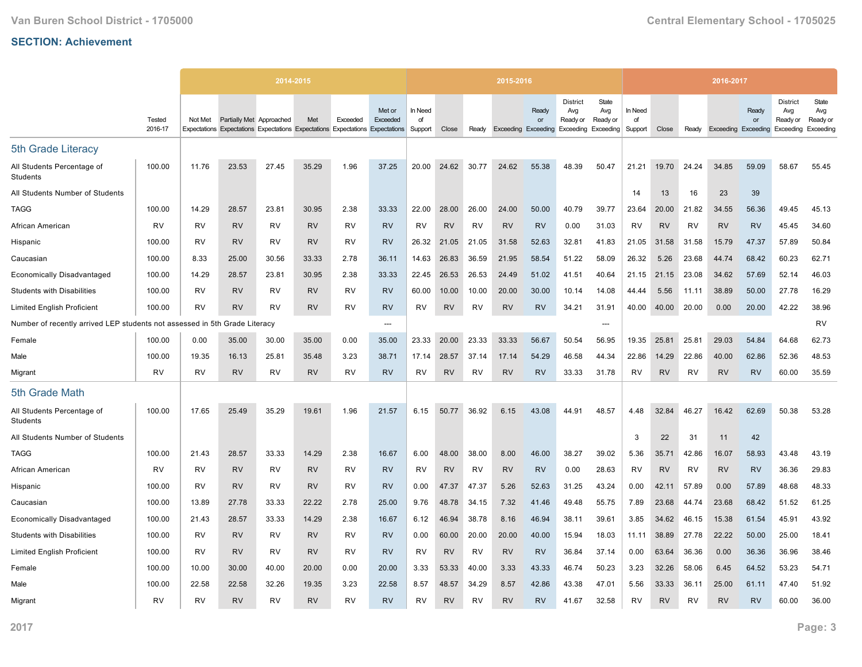|                                                                            |                   |           |                          | 2014-2015                                                                     |           |           |                    |                          |           |           | 2015-2016 |             |                                                                               |                          |                          |           |           | 2016-2017                  |             |                                                 |                                       |
|----------------------------------------------------------------------------|-------------------|-----------|--------------------------|-------------------------------------------------------------------------------|-----------|-----------|--------------------|--------------------------|-----------|-----------|-----------|-------------|-------------------------------------------------------------------------------|--------------------------|--------------------------|-----------|-----------|----------------------------|-------------|-------------------------------------------------|---------------------------------------|
|                                                                            | Tested<br>2016-17 | Not Met   | Partially Met Approached | Expectations Expectations Expectations Expectations Expectations Expectations | Met       | Exceeded  | Met or<br>Exceeded | In Need<br>of<br>Support | Close     | Ready     |           | Ready<br>or | <b>District</b><br>Avg<br>Ready or<br>Exceeding Exceeding Exceeding Exceeding | State<br>Avg<br>Ready or | In Need<br>of<br>Support | Close     | Ready     | <b>Exceeding Exceeding</b> | Ready<br>or | <b>District</b><br>Avg<br>Ready or<br>Exceeding | State<br>Avg<br>Ready or<br>Exceeding |
| 5th Grade Literacy                                                         |                   |           |                          |                                                                               |           |           |                    |                          |           |           |           |             |                                                                               |                          |                          |           |           |                            |             |                                                 |                                       |
| All Students Percentage of<br>Students                                     | 100.00            | 11.76     | 23.53                    | 27.45                                                                         | 35.29     | 1.96      | 37.25              | 20.00                    | 24.62     | 30.77     | 24.62     | 55.38       | 48.39                                                                         | 50.47                    | 21.21                    | 19.70     | 24.24     | 34.85                      | 59.09       | 58.67                                           | 55.45                                 |
| All Students Number of Students                                            |                   |           |                          |                                                                               |           |           |                    |                          |           |           |           |             |                                                                               |                          | 14                       | 13        | 16        | 23                         | 39          |                                                 |                                       |
| <b>TAGG</b>                                                                | 100.00            | 14.29     | 28.57                    | 23.81                                                                         | 30.95     | 2.38      | 33.33              | 22.00                    | 28.00     | 26.00     | 24.00     | 50.00       | 40.79                                                                         | 39.77                    | 23.64                    | 20.00     | 21.82     | 34.55                      | 56.36       | 49.45                                           | 45.13                                 |
| African American                                                           | RV                | <b>RV</b> | <b>RV</b>                | RV                                                                            | <b>RV</b> | <b>RV</b> | <b>RV</b>          | <b>RV</b>                | <b>RV</b> | <b>RV</b> | <b>RV</b> | <b>RV</b>   | 0.00                                                                          | 31.03                    | <b>RV</b>                | <b>RV</b> | <b>RV</b> | <b>RV</b>                  | <b>RV</b>   | 45.45                                           | 34.60                                 |
| Hispanic                                                                   | 100.00            | RV        | <b>RV</b>                | RV                                                                            | <b>RV</b> | <b>RV</b> | <b>RV</b>          | 26.32                    | 21.05     | 21.05     | 31.58     | 52.63       | 32.81                                                                         | 41.83                    | 21.05                    | 31.58     | 31.58     | 15.79                      | 47.37       | 57.89                                           | 50.84                                 |
| Caucasian                                                                  | 100.00            | 8.33      | 25.00                    | 30.56                                                                         | 33.33     | 2.78      | 36.11              | 14.63                    | 26.83     | 36.59     | 21.95     | 58.54       | 51.22                                                                         | 58.09                    | 26.32                    | 5.26      | 23.68     | 44.74                      | 68.42       | 60.23                                           | 62.71                                 |
| <b>Economically Disadvantaged</b>                                          | 100.00            | 14.29     | 28.57                    | 23.81                                                                         | 30.95     | 2.38      | 33.33              | 22.45                    | 26.53     | 26.53     | 24.49     | 51.02       | 41.51                                                                         | 40.64                    | 21.15                    | 21.15     | 23.08     | 34.62                      | 57.69       | 52.14                                           | 46.03                                 |
| <b>Students with Disabilities</b>                                          | 100.00            | RV        | <b>RV</b>                | RV                                                                            | <b>RV</b> | <b>RV</b> | <b>RV</b>          | 60.00                    | 10.00     | 10.00     | 20.00     | 30.00       | 10.14                                                                         | 14.08                    | 44.44                    | 5.56      | 11.11     | 38.89                      | 50.00       | 27.78                                           | 16.29                                 |
| <b>Limited English Proficient</b>                                          | 100.00            | <b>RV</b> | <b>RV</b>                | <b>RV</b>                                                                     | <b>RV</b> | <b>RV</b> | <b>RV</b>          | <b>RV</b>                | <b>RV</b> | <b>RV</b> | <b>RV</b> | <b>RV</b>   | 34.21                                                                         | 31.91                    | 40.00                    | 40.00     | 20.00     | 0.00                       | 20.00       | 42.22                                           | 38.96                                 |
| Number of recently arrived LEP students not assessed in 5th Grade Literacy |                   |           |                          |                                                                               |           |           | ---                |                          |           |           |           |             |                                                                               | ---                      |                          |           |           |                            |             |                                                 | <b>RV</b>                             |
| Female                                                                     | 100.00            | 0.00      | 35.00                    | 30.00                                                                         | 35.00     | 0.00      | 35.00              | 23.33                    | 20.00     | 23.33     | 33.33     | 56.67       | 50.54                                                                         | 56.95                    | 19.35                    | 25.81     | 25.81     | 29.03                      | 54.84       | 64.68                                           | 62.73                                 |
| Male                                                                       | 100.00            | 19.35     | 16.13                    | 25.81                                                                         | 35.48     | 3.23      | 38.71              | 17.14                    | 28.57     | 37.14     | 17.14     | 54.29       | 46.58                                                                         | 44.34                    | 22.86                    | 14.29     | 22.86     | 40.00                      | 62.86       | 52.36                                           | 48.53                                 |
| Migrant                                                                    | <b>RV</b>         | <b>RV</b> | <b>RV</b>                | RV                                                                            | <b>RV</b> | <b>RV</b> | <b>RV</b>          | <b>RV</b>                | <b>RV</b> | RV        | <b>RV</b> | <b>RV</b>   | 33.33                                                                         | 31.78                    | RV                       | <b>RV</b> | <b>RV</b> | <b>RV</b>                  | <b>RV</b>   | 60.00                                           | 35.59                                 |
| 5th Grade Math                                                             |                   |           |                          |                                                                               |           |           |                    |                          |           |           |           |             |                                                                               |                          |                          |           |           |                            |             |                                                 |                                       |
| All Students Percentage of<br>Students                                     | 100.00            | 17.65     | 25.49                    | 35.29                                                                         | 19.61     | 1.96      | 21.57              | 6.15                     | 50.77     | 36.92     | 6.15      | 43.08       | 44.91                                                                         | 48.57                    | 4.48                     | 32.84     | 46.27     | 16.42                      | 62.69       | 50.38                                           | 53.28                                 |
| All Students Number of Students                                            |                   |           |                          |                                                                               |           |           |                    |                          |           |           |           |             |                                                                               |                          | 3                        | 22        | 31        | 11                         | 42          |                                                 |                                       |
| <b>TAGG</b>                                                                | 100.00            | 21.43     | 28.57                    | 33.33                                                                         | 14.29     | 2.38      | 16.67              | 6.00                     | 48.00     | 38.00     | 8.00      | 46.00       | 38.27                                                                         | 39.02                    | 5.36                     | 35.71     | 42.86     | 16.07                      | 58.93       | 43.48                                           | 43.19                                 |
| African American                                                           | RV                | <b>RV</b> | <b>RV</b>                | <b>RV</b>                                                                     | <b>RV</b> | <b>RV</b> | <b>RV</b>          | <b>RV</b>                | <b>RV</b> | <b>RV</b> | <b>RV</b> | <b>RV</b>   | 0.00                                                                          | 28.63                    | RV                       | <b>RV</b> | <b>RV</b> | <b>RV</b>                  | <b>RV</b>   | 36.36                                           | 29.83                                 |
| Hispanic                                                                   | 100.00            | RV        | <b>RV</b>                | <b>RV</b>                                                                     | <b>RV</b> | <b>RV</b> | <b>RV</b>          | 0.00                     | 47.37     | 47.37     | 5.26      | 52.63       | 31.25                                                                         | 43.24                    | 0.00                     | 42.11     | 57.89     | 0.00                       | 57.89       | 48.68                                           | 48.33                                 |
| Caucasian                                                                  | 100.00            | 13.89     | 27.78                    | 33.33                                                                         | 22.22     | 2.78      | 25.00              | 9.76                     | 48.78     | 34.15     | 7.32      | 41.46       | 49.48                                                                         | 55.75                    | 7.89                     | 23.68     | 44.74     | 23.68                      | 68.42       | 51.52                                           | 61.25                                 |
| <b>Economically Disadvantaged</b>                                          | 100.00            | 21.43     | 28.57                    | 33.33                                                                         | 14.29     | 2.38      | 16.67              | 6.12                     | 46.94     | 38.78     | 8.16      | 46.94       | 38.11                                                                         | 39.61                    | 3.85                     | 34.62     | 46.15     | 15.38                      | 61.54       | 45.91                                           | 43.92                                 |
| <b>Students with Disabilities</b>                                          | 100.00            | <b>RV</b> | <b>RV</b>                | <b>RV</b>                                                                     | <b>RV</b> | <b>RV</b> | <b>RV</b>          | 0.00                     | 60.00     | 20.00     | 20.00     | 40.00       | 15.94                                                                         | 18.03                    | 11.11                    | 38.89     | 27.78     | 22.22                      | 50.00       | 25.00                                           | 18.41                                 |
| <b>Limited English Proficient</b>                                          | 100.00            | RV        | <b>RV</b>                | RV                                                                            | <b>RV</b> | RV        | <b>RV</b>          | RV                       | <b>RV</b> | RV        | <b>RV</b> | <b>RV</b>   | 36.84                                                                         | 37.14                    | 0.00                     | 63.64     | 36.36     | 0.00                       | 36.36       | 36.96                                           | 38.46                                 |
| Female                                                                     | 100.00            | 10.00     | 30.00                    | 40.00                                                                         | 20.00     | 0.00      | 20.00              | 3.33                     | 53.33     | 40.00     | 3.33      | 43.33       | 46.74                                                                         | 50.23                    | 3.23                     | 32.26     | 58.06     | 6.45                       | 64.52       | 53.23                                           | 54.71                                 |
| Male                                                                       | 100.00            | 22.58     | 22.58                    | 32.26                                                                         | 19.35     | 3.23      | 22.58              | 8.57                     | 48.57     | 34.29     | 8.57      | 42.86       | 43.38                                                                         | 47.01                    | 5.56                     | 33.33     | 36.11     | 25.00                      | 61.11       | 47.40                                           | 51.92                                 |
| Migrant                                                                    | <b>RV</b>         | RV        | <b>RV</b>                | <b>RV</b>                                                                     | <b>RV</b> | <b>RV</b> | <b>RV</b>          | RV                       | <b>RV</b> | RV        | <b>RV</b> | <b>RV</b>   | 41.67                                                                         | 32.58                    | <b>RV</b>                | RV        | R٧        | <b>RV</b>                  | <b>RV</b>   | 60.00                                           | 36.00                                 |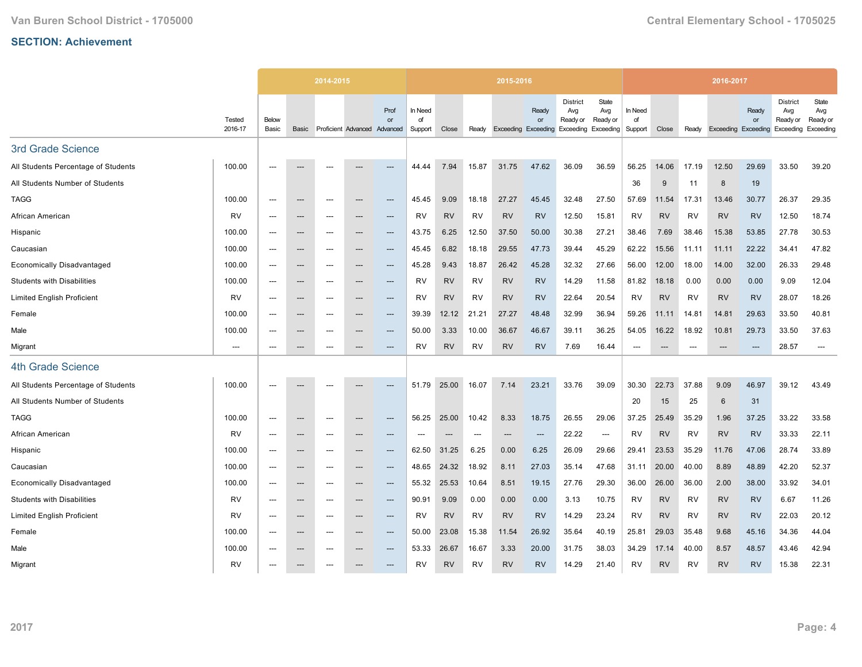|                                     |                   |                          |                                   | 2014-2015 |     |                                            |                          |           |                          | 2015-2016 |                                                               |                                    |                          |                          |           |           | 2016-2017                  |             |                                                 |                                       |
|-------------------------------------|-------------------|--------------------------|-----------------------------------|-----------|-----|--------------------------------------------|--------------------------|-----------|--------------------------|-----------|---------------------------------------------------------------|------------------------------------|--------------------------|--------------------------|-----------|-----------|----------------------------|-------------|-------------------------------------------------|---------------------------------------|
|                                     | Tested<br>2016-17 | Below<br>Basic           | Basic                             |           |     | Prof<br>or<br>Proficient Advanced Advanced | In Need<br>of<br>Support | Close     | Ready                    |           | Ready<br><b>or</b><br>Exceeding Exceeding Exceeding Exceeding | <b>District</b><br>Avg<br>Ready or | State<br>Avg<br>Ready or | In Need<br>of<br>Support | Close     | Ready     | <b>Exceeding Exceeding</b> | Ready<br>or | <b>District</b><br>Avg<br>Ready or<br>Exceeding | State<br>Avg<br>Ready or<br>Exceeding |
| 3rd Grade Science                   |                   |                          |                                   |           |     |                                            |                          |           |                          |           |                                                               |                                    |                          |                          |           |           |                            |             |                                                 |                                       |
| All Students Percentage of Students | 100.00            | $---$                    | $---$                             | ---       | --- | ---                                        | 44.44                    | 7.94      | 15.87                    | 31.75     | 47.62                                                         | 36.09                              | 36.59                    | 56.25                    | 14.06     | 17.19     | 12.50                      | 29.69       | 33.50                                           | 39.20                                 |
| All Students Number of Students     |                   |                          |                                   |           |     |                                            |                          |           |                          |           |                                                               |                                    |                          | 36                       | 9         | 11        | 8                          | 19          |                                                 |                                       |
| <b>TAGG</b>                         | 100.00            | ---                      | $\hspace{0.05cm} \cdots$          | ---       | --- | ---                                        | 45.45                    | 9.09      | 18.18                    | 27.27     | 45.45                                                         | 32.48                              | 27.50                    | 57.69                    | 11.54     | 17.31     | 13.46                      | 30.77       | 26.37                                           | 29.35                                 |
| African American                    | RV                | $---$                    | $---$                             | ---       | --- | $---$                                      | RV                       | <b>RV</b> | RV                       | <b>RV</b> | <b>RV</b>                                                     | 12.50                              | 15.81                    | RV                       | <b>RV</b> | RV        | <b>RV</b>                  | <b>RV</b>   | 12.50                                           | 18.74                                 |
| Hispanic                            | 100.00            |                          | $---$                             | ---       |     | $---$                                      | 43.75                    | 6.25      | 12.50                    | 37.50     | 50.00                                                         | 30.38                              | 27.21                    | 38.46                    | 7.69      | 38.46     | 15.38                      | 53.85       | 27.78                                           | 30.53                                 |
| Caucasian                           | 100.00            | $---$                    | $\hspace{0.05cm} \cdots$          | $---$     | --- | $\qquad \qquad \cdots$                     | 45.45                    | 6.82      | 18.18                    | 29.55     | 47.73                                                         | 39.44                              | 45.29                    | 62.22                    | 15.56     | 11.11     | 11.11                      | 22.22       | 34.41                                           | 47.82                                 |
| <b>Economically Disadvantaged</b>   | 100.00            | $---$                    | $\hspace{0.05cm} \dashrightarrow$ | ---       | --- | $---$                                      | 45.28                    | 9.43      | 18.87                    | 26.42     | 45.28                                                         | 32.32                              | 27.66                    | 56.00                    | 12.00     | 18.00     | 14.00                      | 32.00       | 26.33                                           | 29.48                                 |
| <b>Students with Disabilities</b>   | 100.00            | ---                      | ---                               | ---       | --- | ---                                        | <b>RV</b>                | <b>RV</b> | <b>RV</b>                | <b>RV</b> | <b>RV</b>                                                     | 14.29                              | 11.58                    | 81.82                    | 18.18     | 0.00      | 0.00                       | 0.00        | 9.09                                            | 12.04                                 |
| <b>Limited English Proficient</b>   | RV                | $---$                    | $---$                             | $---$     | --- | $---$                                      | RV                       | <b>RV</b> | RV                       | <b>RV</b> | <b>RV</b>                                                     | 22.64                              | 20.54                    | <b>RV</b>                | <b>RV</b> | RV        | <b>RV</b>                  | <b>RV</b>   | 28.07                                           | 18.26                                 |
| Female                              | 100.00            | $---$                    | $---$                             | ---       | --- | ---                                        | 39.39                    | 12.12     | 21.21                    | 27.27     | 48.48                                                         | 32.99                              | 36.94                    | 59.26                    | 11.11     | 14.81     | 14.81                      | 29.63       | 33.50                                           | 40.81                                 |
| Male                                | 100.00            | $---$                    | $\hspace{0.05cm} \cdots$          | ---       | --- | ---                                        | 50.00                    | 3.33      | 10.00                    | 36.67     | 46.67                                                         | 39.11                              | 36.25                    | 54.05                    | 16.22     | 18.92     | 10.81                      | 29.73       | 33.50                                           | 37.63                                 |
| Migrant                             | $---$             | $---$                    | $---$                             | ---       | --- | ---                                        | RV                       | <b>RV</b> | RV                       | <b>RV</b> | <b>RV</b>                                                     | 7.69                               | 16.44                    | $---$                    | $---$     | ---       | $\overline{\phantom{a}}$   | $---$       | 28.57                                           | $---$                                 |
| <b>4th Grade Science</b>            |                   |                          |                                   |           |     |                                            |                          |           |                          |           |                                                               |                                    |                          |                          |           |           |                            |             |                                                 |                                       |
| All Students Percentage of Students | 100.00            | $---$                    |                                   | ---       |     | ---                                        | 51.79                    | 25.00     | 16.07                    | 7.14      | 23.21                                                         | 33.76                              | 39.09                    | 30.30                    | 22.73     | 37.88     | 9.09                       | 46.97       | 39.12                                           | 43.49                                 |
| All Students Number of Students     |                   |                          |                                   |           |     |                                            |                          |           |                          |           |                                                               |                                    |                          | 20                       | 15        | 25        | 6                          | 31          |                                                 |                                       |
| <b>TAGG</b>                         | 100.00            | $---$                    | $\hspace{0.05cm} \ldots$          | ---       | --- | $---$                                      | 56.25                    | 25.00     | 10.42                    | 8.33      | 18.75                                                         | 26.55                              | 29.06                    | 37.25                    | 25.49     | 35.29     | 1.96                       | 37.25       | 33.22                                           | 33.58                                 |
| African American                    | RV                | ---                      | $\hspace{0.05cm} \cdots$          | ---       | --- | ---                                        |                          | $---$     | $\overline{\phantom{a}}$ | ---       | $---$                                                         | 22.22                              | $\hspace{0.05cm} \ldots$ | RV                       | <b>RV</b> | <b>RV</b> | <b>RV</b>                  | <b>RV</b>   | 33.33                                           | 22.11                                 |
| Hispanic                            | 100.00            | $---$                    | ---                               | ---       | --- | ---                                        | 62.50                    | 31.25     | 6.25                     | 0.00      | 6.25                                                          | 26.09                              | 29.66                    | 29.41                    | 23.53     | 35.29     | 11.76                      | 47.06       | 28.74                                           | 33.89                                 |
| Caucasian                           | 100.00            | $\overline{\phantom{a}}$ | $\hspace{0.05cm} \ldots$          | ---       | --- | $\qquad \qquad \cdots$                     | 48.65                    | 24.32     | 18.92                    | 8.11      | 27.03                                                         | 35.14                              | 47.68                    | 31.11                    | 20.00     | 40.00     | 8.89                       | 48.89       | 42.20                                           | 52.37                                 |
| <b>Economically Disadvantaged</b>   | 100.00            | $\overline{a}$           | ---                               | ---       | --- | ---                                        | 55.32                    | 25.53     | 10.64                    | 8.51      | 19.15                                                         | 27.76                              | 29.30                    | 36.00                    | 26.00     | 36.00     | 2.00                       | 38.00       | 33.92                                           | 34.01                                 |
| <b>Students with Disabilities</b>   | RV                | $---$                    | $\hspace{0.05cm} \dashrightarrow$ | $---$     | --- | $\qquad \qquad \cdots$                     | 90.91                    | 9.09      | 0.00                     | 0.00      | 0.00                                                          | 3.13                               | 10.75                    | RV                       | <b>RV</b> | <b>RV</b> | <b>RV</b>                  | <b>RV</b>   | 6.67                                            | 11.26                                 |
| <b>Limited English Proficient</b>   | <b>RV</b>         | $---$                    | $\hspace{0.05cm} \ldots$          | $---$     | --- | $\qquad \qquad \cdots$                     | <b>RV</b>                | <b>RV</b> | RV                       | <b>RV</b> | <b>RV</b>                                                     | 14.29                              | 23.24                    | <b>RV</b>                | <b>RV</b> | RV        | <b>RV</b>                  | <b>RV</b>   | 22.03                                           | 20.12                                 |
| Female                              | 100.00            | ---                      | ---                               | ---       | --- | ---                                        | 50.00                    | 23.08     | 15.38                    | 11.54     | 26.92                                                         | 35.64                              | 40.19                    | 25.81                    | 29.03     | 35.48     | 9.68                       | 45.16       | 34.36                                           | 44.04                                 |
| Male                                | 100.00            | $---$                    | $---$                             | ---       | --- | $---$                                      | 53.33                    | 26.67     | 16.67                    | 3.33      | 20.00                                                         | 31.75                              | 38.03                    | 34.29                    | 17.14     | 40.00     | 8.57                       | 48.57       | 43.46                                           | 42.94                                 |
| Migrant                             | RV                |                          |                                   |           |     | ---                                        | <b>RV</b>                | <b>RV</b> | <b>RV</b>                | <b>RV</b> | <b>RV</b>                                                     | 14.29                              | 21.40                    | RV                       | <b>RV</b> | <b>RV</b> | <b>RV</b>                  | <b>RV</b>   | 15.38                                           | 22.31                                 |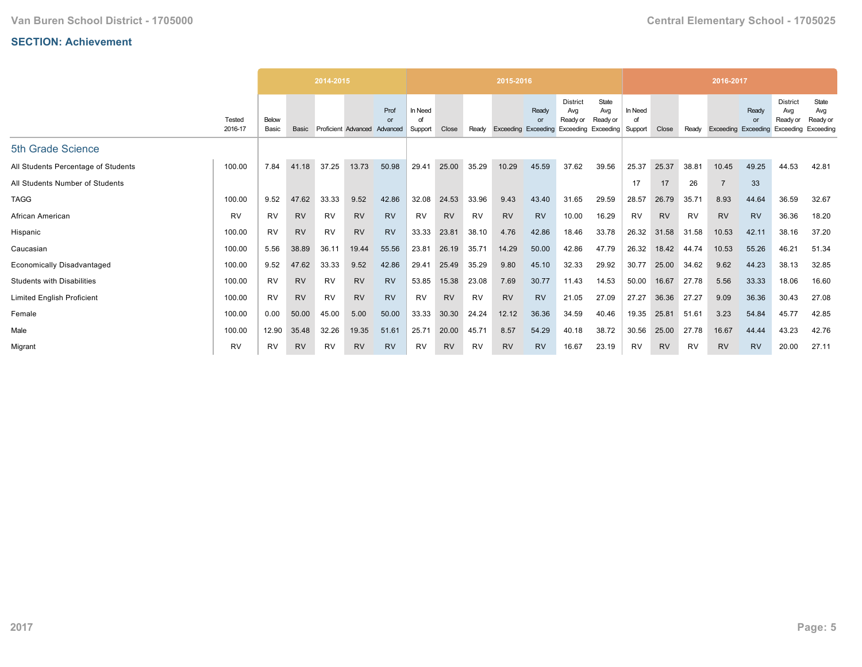|                                     |                   |                |           | 2014-2015 |                     |                        |                    |           |           | 2015-2016           |                                       |                                                           |                          |                          |           |           | 2016-2017           |             |                                                 |                                       |
|-------------------------------------|-------------------|----------------|-----------|-----------|---------------------|------------------------|--------------------|-----------|-----------|---------------------|---------------------------------------|-----------------------------------------------------------|--------------------------|--------------------------|-----------|-----------|---------------------|-------------|-------------------------------------------------|---------------------------------------|
|                                     | Tested<br>2016-17 | Below<br>Basic | Basic     |           | Proficient Advanced | Prof<br>or<br>Advanced | In Need<br>Support | Close     | Ready     | Exceeding Exceeding | <b>Ready</b><br>$\Omega$ <sup>r</sup> | <b>District</b><br>Avg<br>Ready or<br>Exceeding Exceeding | State<br>Avg<br>Ready or | In Need<br>of<br>Support | Close     | Ready     | Exceeding Exceeding | Ready<br>or | <b>District</b><br>Avg<br>Ready or<br>Exceeding | State<br>Avg<br>Ready or<br>Exceeding |
| 5th Grade Science                   |                   |                |           |           |                     |                        |                    |           |           |                     |                                       |                                                           |                          |                          |           |           |                     |             |                                                 |                                       |
| All Students Percentage of Students | 100.00            | 7.84           | 41.18     | 37.25     | 13.73               | 50.98                  | 29.41              | 25.00     | 35.29     | 10.29               | 45.59                                 | 37.62                                                     | 39.56                    | 25.37                    | 25.37     | 38.81     | 10.45               | 49.25       | 44.53                                           | 42.81                                 |
| All Students Number of Students     |                   |                |           |           |                     |                        |                    |           |           |                     |                                       |                                                           |                          | 17                       | 17        | 26        | $\overline{7}$      | 33          |                                                 |                                       |
| <b>TAGG</b>                         | 100.00            | 9.52           | 47.62     | 33.33     | 9.52                | 42.86                  | 32.08              | 24.53     | 33.96     | 9.43                | 43.40                                 | 31.65                                                     | 29.59                    | 28.57                    | 26.79     | 35.71     | 8.93                | 44.64       | 36.59                                           | 32.67                                 |
| African American                    | <b>RV</b>         | <b>RV</b>      | <b>RV</b> | <b>RV</b> | <b>RV</b>           | <b>RV</b>              | <b>RV</b>          | <b>RV</b> | <b>RV</b> | <b>RV</b>           | <b>RV</b>                             | 10.00                                                     | 16.29                    | RV                       | <b>RV</b> | <b>RV</b> | <b>RV</b>           | <b>RV</b>   | 36.36                                           | 18.20                                 |
| Hispanic                            | 100.00            | <b>RV</b>      | <b>RV</b> | RV        | <b>RV</b>           | <b>RV</b>              | 33.33              | 23.81     | 38.10     | 4.76                | 42.86                                 | 18.46                                                     | 33.78                    | 26.32                    | 31.58     | 31.58     | 10.53               | 42.11       | 38.16                                           | 37.20                                 |
| Caucasian                           | 100.00            | 5.56           | 38.89     | 36.11     | 19.44               | 55.56                  | 23.81              | 26.19     | 35.71     | 14.29               | 50.00                                 | 42.86                                                     | 47.79                    | 26.32                    | 18.42     | 44.74     | 10.53               | 55.26       | 46.21                                           | 51.34                                 |
| <b>Economically Disadvantaged</b>   | 100.00            | 9.52           | 47.62     | 33.33     | 9.52                | 42.86                  | 29.41              | 25.49     | 35.29     | 9.80                | 45.10                                 | 32.33                                                     | 29.92                    | 30.77                    | 25.00     | 34.62     | 9.62                | 44.23       | 38.13                                           | 32.85                                 |
| <b>Students with Disabilities</b>   | 100.00            | <b>RV</b>      | <b>RV</b> | <b>RV</b> | <b>RV</b>           | <b>RV</b>              | 53.85              | 15.38     | 23.08     | 7.69                | 30.77                                 | 11.43                                                     | 14.53                    | 50.00                    | 16.67     | 27.78     | 5.56                | 33.33       | 18.06                                           | 16.60                                 |
| <b>Limited English Proficient</b>   | 100.00            | <b>RV</b>      | <b>RV</b> | RV        | <b>RV</b>           | <b>RV</b>              | RV                 | <b>RV</b> | <b>RV</b> | <b>RV</b>           | <b>RV</b>                             | 21.05                                                     | 27.09                    | 27.27                    | 36.36     | 27.27     | 9.09                | 36.36       | 30.43                                           | 27.08                                 |
| Female                              | 100.00            | 0.00           | 50.00     | 45.00     | 5.00                | 50.00                  | 33.33              | 30.30     | 24.24     | 12.12               | 36.36                                 | 34.59                                                     | 40.46                    | 19.35                    | 25.81     | 51.61     | 3.23                | 54.84       | 45.77                                           | 42.85                                 |
| Male                                | 100.00            | 12.90          | 35.48     | 32.26     | 19.35               | 51.61                  | 25.71              | 20.00     | 45.71     | 8.57                | 54.29                                 | 40.18                                                     | 38.72                    | 30.56                    | 25.00     | 27.78     | 16.67               | 44.44       | 43.23                                           | 42.76                                 |
| Migrant                             | <b>RV</b>         | <b>RV</b>      | <b>RV</b> | RV        | <b>RV</b>           | <b>RV</b>              | RV                 | <b>RV</b> | <b>RV</b> | <b>RV</b>           | <b>RV</b>                             | 16.67                                                     | 23.19                    | RV                       | <b>RV</b> | RV        | <b>RV</b>           | <b>RV</b>   | 20.00                                           | 27.11                                 |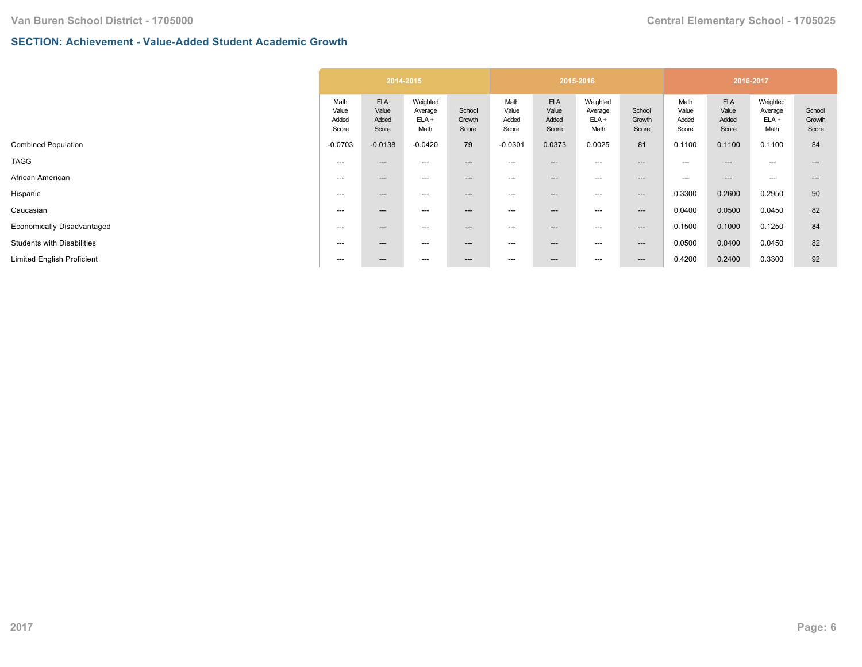## **SECTION: Achievement - Value-Added Student Academic Growth**

|                                                                          | Weighted                                                |                                 |                                       |                                        |                           |                                 |                                       |                                        |                           |
|--------------------------------------------------------------------------|---------------------------------------------------------|---------------------------------|---------------------------------------|----------------------------------------|---------------------------|---------------------------------|---------------------------------------|----------------------------------------|---------------------------|
| <b>ELA</b><br>Math<br>Value<br>Value<br>Added<br>Added<br>Score<br>Score | School<br>Average<br>$ELA +$<br>Growth<br>Math<br>Score | Math<br>Value<br>Added<br>Score | <b>ELA</b><br>Value<br>Added<br>Score | Weighted<br>Average<br>$ELA +$<br>Math | School<br>Growth<br>Score | Math<br>Value<br>Added<br>Score | <b>ELA</b><br>Value<br>Added<br>Score | Weighted<br>Average<br>$ELA +$<br>Math | School<br>Growth<br>Score |
| $-0.0138$<br>$-0.0703$                                                   | 79<br>$-0.0420$                                         | $-0.0301$                       | 0.0373                                | 0.0025                                 | 81                        | 0.1100                          | 0.1100                                | 0.1100                                 | 84                        |
| ---<br>$---$                                                             | ---<br>---                                              | $---$                           | ---                                   | ---                                    | $---$                     | ---                             | $- - -$                               | $---$                                  |                           |
| ---<br>$---$                                                             | ---<br>---                                              | ---                             | ---                                   | ---                                    | $\qquad \qquad \cdots$    | ---                             | $---$                                 | $---$                                  | ---                       |
| ---<br>$---$                                                             | ---<br>$---$                                            | ---                             | ---                                   | ---                                    | $--$                      | 0.3300                          | 0.2600                                | 0.2950                                 | 90                        |
| ---<br>$---$                                                             | ---<br>$---$                                            | ---                             | ---                                   | ---                                    | $---$                     | 0.0400                          | 0.0500                                | 0.0450                                 | 82                        |
| $---$<br>$---$                                                           | ---<br>$---$                                            | ---                             | ---                                   | ---                                    | $--$                      | 0.1500                          | 0.1000                                | 0.1250                                 | 84                        |
| $---$<br>$---$                                                           | ---<br>$---$                                            | ---                             | ---                                   | ---                                    | $--$                      | 0.0500                          | 0.0400                                | 0.0450                                 | 82                        |
| ---<br>$---$                                                             | ---<br>$---$                                            | $---$                           | ---                                   | ---                                    | $---$                     | 0.4200                          | 0.2400                                | 0.3300                                 | 92                        |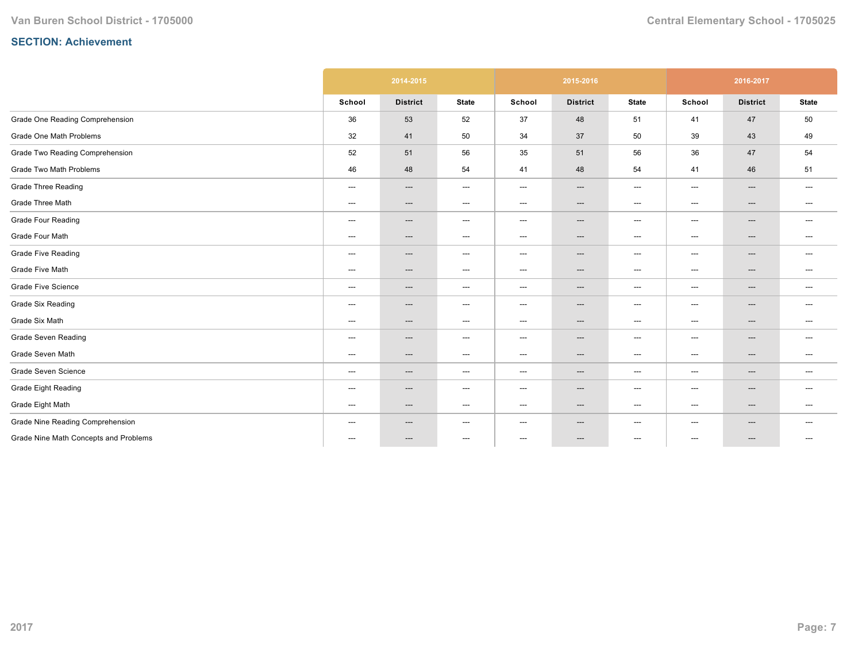|                                       |                                          | 2014-2015                |                                   |        | 2015-2016                |                                   |                                   | 2016-2017                |                          |
|---------------------------------------|------------------------------------------|--------------------------|-----------------------------------|--------|--------------------------|-----------------------------------|-----------------------------------|--------------------------|--------------------------|
|                                       | School                                   | <b>District</b>          | <b>State</b>                      | School | <b>District</b>          | <b>State</b>                      | School                            | <b>District</b>          | <b>State</b>             |
| Grade One Reading Comprehension       | 36                                       | 53                       | 52                                | 37     | 48                       | 51                                | 41                                | 47                       | 50                       |
| Grade One Math Problems               | 32                                       | 41                       | 50                                | 34     | 37                       | 50                                | 39                                | 43                       | 49                       |
| Grade Two Reading Comprehension       | 52                                       | 51                       | 56                                | 35     | 51                       | 56                                | 36                                | 47                       | 54                       |
| Grade Two Math Problems               | 46                                       | 48                       | 54                                | 41     | 48                       | 54                                | 41                                | 46                       | 51                       |
| <b>Grade Three Reading</b>            | ---                                      | ---                      | $\hspace{0.05cm} \dashrightarrow$ | ---    | ---                      | $\hspace{0.05cm} \dashrightarrow$ | $\qquad \qquad \cdots$            | ---                      | $\hspace{0.05cm} \ldots$ |
| Grade Three Math                      | ---                                      | $\qquad \qquad \cdots$   | $\hspace{0.05cm} \dashrightarrow$ | ---    | $\hspace{0.05cm} \ldots$ | $\hspace{0.05cm} \ldots$          | $\qquad \qquad \cdots$            | $---$                    | $---$                    |
| <b>Grade Four Reading</b>             | ---                                      | $\qquad \qquad \cdots$   | $\hspace{0.05cm} \ldots$          | ---    | $\hspace{0.05cm} \ldots$ | $\hspace{0.05cm} \ldots$          | $---$                             | ---                      | $\hspace{0.05cm} \ldots$ |
| Grade Four Math                       | ---                                      | $\qquad \qquad \cdots$   | $\hspace{0.05cm} \ldots$          | ---    | ---                      | $---$                             | $---$                             | ---                      | $\hspace{0.05cm} \ldots$ |
| <b>Grade Five Reading</b>             | ---                                      | ---                      | $\hspace{0.05cm} \ldots$          | ---    | ---                      | $\hspace{0.05cm} \ldots$          | ---                               | ---                      | $---$                    |
| Grade Five Math                       | ---                                      | ---                      | $\hspace{0.05cm} \ldots$          | ---    | ---                      | $\hspace{0.05cm} \ldots$          | $---$                             | ---                      | $\hspace{0.05cm} \ldots$ |
| <b>Grade Five Science</b>             | $\hspace{0.05cm} \ldots \hspace{0.05cm}$ | $\qquad \qquad \cdots$   | $\hspace{0.05cm} \ldots$          | ---    | $\hspace{0.05cm} \ldots$ | $\hspace{0.05cm} \ldots$          | $\qquad \qquad \cdots$            | ---                      | $\hspace{0.05cm} \ldots$ |
| <b>Grade Six Reading</b>              | ---                                      | $\qquad \qquad \cdots$   | $\hspace{0.05cm} \dashrightarrow$ | ---    | $\hspace{0.05cm} \ldots$ | $\hspace{0.05cm} \ldots$          | $---$                             | $\hspace{0.05cm} \ldots$ | ---                      |
| Grade Six Math                        | ---                                      | $\hspace{0.05cm} \ldots$ | $\hspace{0.05cm} \ldots$          | ---    | ---                      | $\hspace{0.05cm} \ldots$          | $\hspace{0.05cm} \ldots$          | ---                      | $\hspace{0.05cm} \ldots$ |
| Grade Seven Reading                   | ---                                      | ---                      | $\hspace{0.05cm} \ldots$          | ---    | ---                      | $\hspace{0.05cm} \ldots$          | $\hspace{0.05cm} \ldots$          | ---                      | $\hspace{0.05cm} \ldots$ |
| Grade Seven Math                      | ---                                      | $\hspace{0.05cm} \ldots$ | $\hspace{0.05cm} \dashrightarrow$ | ---    | ---                      | $\hspace{0.05cm} \dashrightarrow$ | $---$                             | ---                      | $---$                    |
| Grade Seven Science                   | ---                                      | ---                      | $\hspace{0.05cm} \cdots$          | ---    | $\hspace{0.05cm} \ldots$ | $\hspace{0.05cm} \dashrightarrow$ | $---$                             | ---                      | $---$                    |
| <b>Grade Eight Reading</b>            | ---                                      | ---                      | $\hspace{0.05cm} \ldots$          | ---    | ---                      | $\hspace{0.05cm} \ldots$          | $\hspace{0.05cm} \ldots$          | ---                      | $---$                    |
| Grade Eight Math                      | ---                                      | $\hspace{0.05cm} \ldots$ | $\hspace{0.05cm} \ldots$          | ---    | $\hspace{0.05cm} \ldots$ | $\hspace{0.05cm} \ldots$          | $\hspace{0.05cm} \dashrightarrow$ | ---                      | $\hspace{0.05cm} \ldots$ |
| Grade Nine Reading Comprehension      | ---                                      | $\hspace{0.05cm} \ldots$ | $\hspace{0.05cm} \dashrightarrow$ | ---    | ---                      | $\hspace{0.05cm} \dashrightarrow$ | $---$                             | ---                      | $\hspace{0.05cm} \ldots$ |
| Grade Nine Math Concepts and Problems | ---                                      | ---                      | $\hspace{0.05cm} \dashrightarrow$ | ---    | ---                      | $\hspace{0.05cm} \dashrightarrow$ | ---                               | ---                      | $---$                    |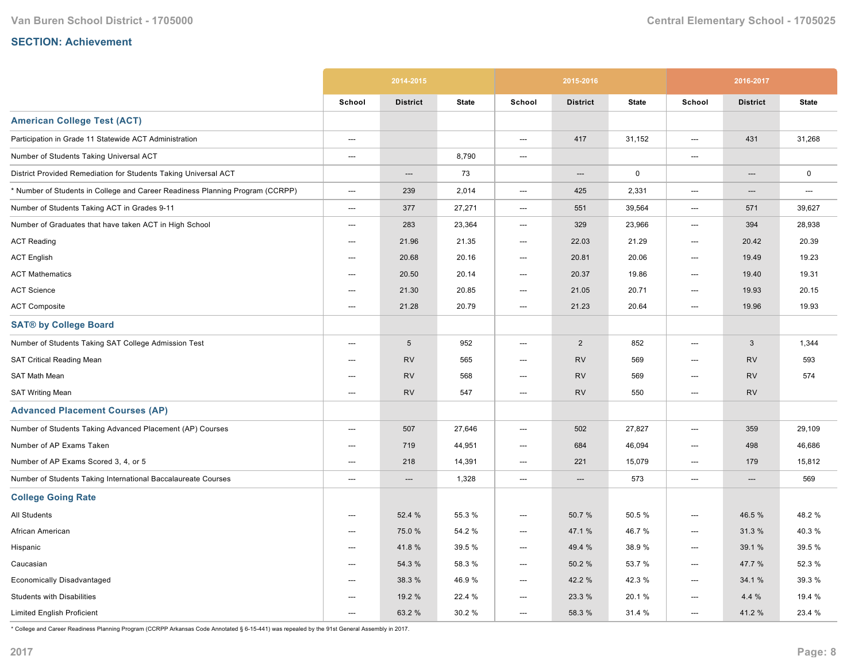|                                                                               |                          | 2014-2015       |              |                          | 2015-2016       |              |        | 2016-2017       |              |
|-------------------------------------------------------------------------------|--------------------------|-----------------|--------------|--------------------------|-----------------|--------------|--------|-----------------|--------------|
|                                                                               | School                   | <b>District</b> | <b>State</b> | School                   | <b>District</b> | <b>State</b> | School | <b>District</b> | <b>State</b> |
| <b>American College Test (ACT)</b>                                            |                          |                 |              |                          |                 |              |        |                 |              |
| Participation in Grade 11 Statewide ACT Administration                        | $\hspace{0.05cm} \cdots$ |                 |              | ---                      | 417             | 31,152       | ---    | 431             | 31,268       |
| Number of Students Taking Universal ACT                                       | $---$                    |                 | 8,790        | $\overline{\phantom{a}}$ |                 |              | ---    |                 |              |
| District Provided Remediation for Students Taking Universal ACT               |                          | ---             | 73           |                          | ---             | $\mathbf 0$  |        | ---             | $\mathsf 0$  |
| * Number of Students in College and Career Readiness Planning Program (CCRPP) | ---                      | 239             | 2,014        | ---                      | 425             | 2,331        | ---    | ---             | ---          |
| Number of Students Taking ACT in Grades 9-11                                  | ---                      | 377             | 27,271       | $\hspace{0.05cm} \ldots$ | 551             | 39,564       | ---    | 571             | 39,627       |
| Number of Graduates that have taken ACT in High School                        | ---                      | 283             | 23,364       | $---$                    | 329             | 23,966       | ---    | 394             | 28,938       |
| <b>ACT Reading</b>                                                            | $---$                    | 21.96           | 21.35        | ---                      | 22.03           | 21.29        | ---    | 20.42           | 20.39        |
| <b>ACT English</b>                                                            | $\hspace{0.05cm} \ldots$ | 20.68           | 20.16        | ---                      | 20.81           | 20.06        | ---    | 19.49           | 19.23        |
| <b>ACT Mathematics</b>                                                        | ---                      | 20.50           | 20.14        | ---                      | 20.37           | 19.86        | ---    | 19.40           | 19.31        |
| <b>ACT Science</b>                                                            | ---                      | 21.30           | 20.85        | $\hspace{0.05cm} \ldots$ | 21.05           | 20.71        | ---    | 19.93           | 20.15        |
| <b>ACT Composite</b>                                                          | ---                      | 21.28           | 20.79        | ---                      | 21.23           | 20.64        | ---    | 19.96           | 19.93        |
| <b>SAT® by College Board</b>                                                  |                          |                 |              |                          |                 |              |        |                 |              |
| Number of Students Taking SAT College Admission Test                          | $---$                    | $\sqrt{5}$      | 952          | ---                      | $\overline{2}$  | 852          | $---$  | 3               | 1,344        |
| SAT Critical Reading Mean                                                     | ---                      | <b>RV</b>       | 565          | ---                      | <b>RV</b>       | 569          | ---    | <b>RV</b>       | 593          |
| SAT Math Mean                                                                 | ---                      | <b>RV</b>       | 568          | ---                      | <b>RV</b>       | 569          | ---    | <b>RV</b>       | 574          |
| <b>SAT Writing Mean</b>                                                       | $\overline{\phantom{a}}$ | <b>RV</b>       | 547          | $---$                    | <b>RV</b>       | 550          | ---    | <b>RV</b>       |              |
| <b>Advanced Placement Courses (AP)</b>                                        |                          |                 |              |                          |                 |              |        |                 |              |
| Number of Students Taking Advanced Placement (AP) Courses                     | $---$                    | 507             | 27,646       | $\overline{\phantom{a}}$ | 502             | 27,827       | $---$  | 359             | 29,109       |
| Number of AP Exams Taken                                                      | ---                      | 719             | 44,951       | ---                      | 684             | 46,094       | ---    | 498             | 46,686       |
| Number of AP Exams Scored 3, 4, or 5                                          | $---$                    | 218             | 14,391       | ---                      | 221             | 15,079       | $---$  | 179             | 15,812       |
| Number of Students Taking International Baccalaureate Courses                 | ---                      | $---$           | 1,328        | $\hspace{0.05cm} \ldots$ | $---$           | 573          | ---    | $---$           | 569          |
| <b>College Going Rate</b>                                                     |                          |                 |              |                          |                 |              |        |                 |              |
| <b>All Students</b>                                                           | ---                      | 52.4 %          | 55.3 %       | ---                      | 50.7%           | 50.5%        | ---    | 46.5 %          | 48.2%        |
| African American                                                              | ---                      | 75.0%           | 54.2 %       | ---                      | 47.1 %          | 46.7%        | ---    | 31.3%           | 40.3%        |
| Hispanic                                                                      | ---                      | 41.8%           | 39.5 %       | ---                      | 49.4 %          | 38.9%        | ---    | 39.1 %          | 39.5 %       |
| Caucasian                                                                     | $---$                    | 54.3 %          | 58.3 %       | ---                      | 50.2%           | 53.7 %       | ---    | 47.7 %          | 52.3 %       |
| <b>Economically Disadvantaged</b>                                             | $---$                    | 38.3 %          | 46.9%        | ---                      | 42.2 %          | 42.3%        | ---    | 34.1 %          | 39.3 %       |
| <b>Students with Disabilities</b>                                             | $---$                    | 19.2 %          | 22.4 %       | ---                      | 23.3 %          | 20.1%        | ---    | 4.4 %           | 19.4 %       |
| <b>Limited English Proficient</b>                                             | $---$                    | 63.2 %          | 30.2%        | $---$                    | 58.3 %          | 31.4 %       | $---$  | 41.2%           | 23.4 %       |

\* College and Career Readiness Planning Program (CCRPP Arkansas Code Annotated § 615441) was repealed by the 91st General Assembly in 2017.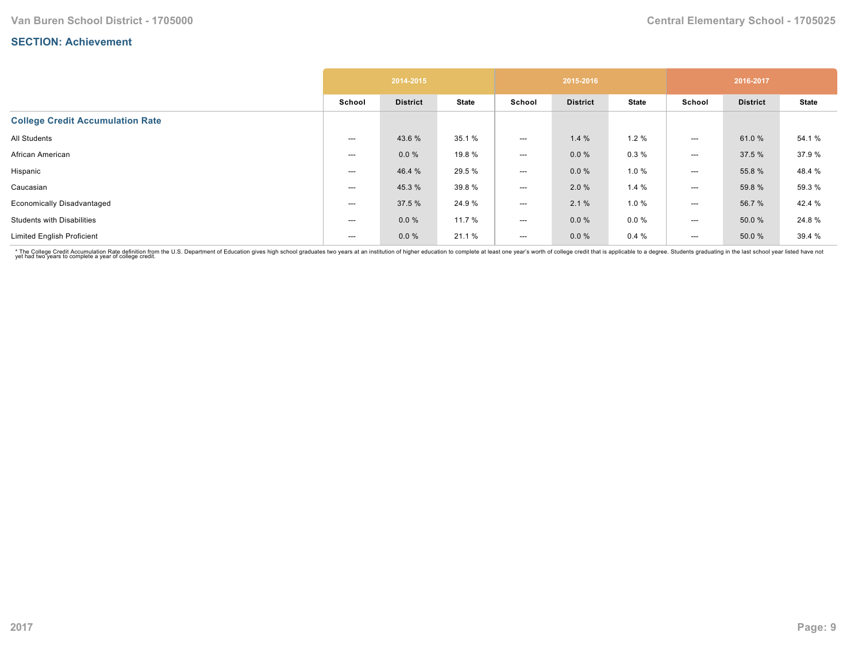|                                         |        | 2014-2015       |              |                          | 2015-2016       |              |                          | 2016-2017       |              |
|-----------------------------------------|--------|-----------------|--------------|--------------------------|-----------------|--------------|--------------------------|-----------------|--------------|
|                                         | School | <b>District</b> | <b>State</b> | School                   | <b>District</b> | <b>State</b> | School                   | <b>District</b> | <b>State</b> |
| <b>College Credit Accumulation Rate</b> |        |                 |              |                          |                 |              |                          |                 |              |
| All Students                            | ---    | 43.6 %          | 35.1 %       | $---$                    | 1.4%            | 1.2%         | $---$                    | 61.0%           | 54.1 %       |
| African American                        | ---    | 0.0%            | 19.8 %       | $---$                    | $0.0 \%$        | 0.3%         | $---$                    | 37.5 %          | 37.9%        |
| Hispanic                                | ---    | 46.4 %          | 29.5 %       | $\hspace{0.05cm} \ldots$ | $0.0 \%$        | 1.0%         | $---$                    | 55.8 %          | 48.4 %       |
| Caucasian                               | ---    | 45.3 %          | 39.8%        | $---$                    | 2.0%            | 1.4%         | $---$                    | 59.8 %          | 59.3 %       |
| <b>Economically Disadvantaged</b>       | ---    | 37.5 %          | 24.9%        | $\hspace{0.05cm} \ldots$ | 2.1%            | 1.0 %        | $---$                    | 56.7%           | 42.4 %       |
| <b>Students with Disabilities</b>       | ---    | 0.0%            | 11.7 %       | $\hspace{0.05cm} \ldots$ | $0.0 \%$        | $0.0 \%$     | ---                      | 50.0 %          | 24.8%        |
| <b>Limited English Proficient</b>       | ---    | 0.0%            | 21.1 %       | $---$                    | $0.0 \%$        | 0.4%         | $\hspace{0.05cm} \ldots$ | 50.0 %          | 39.4 %       |

\* The College Credit Accumulation Rate definition from the U.S. Department of Education gives high school graduates two years at an institution of higher education to complete at least one year's worth of college credit th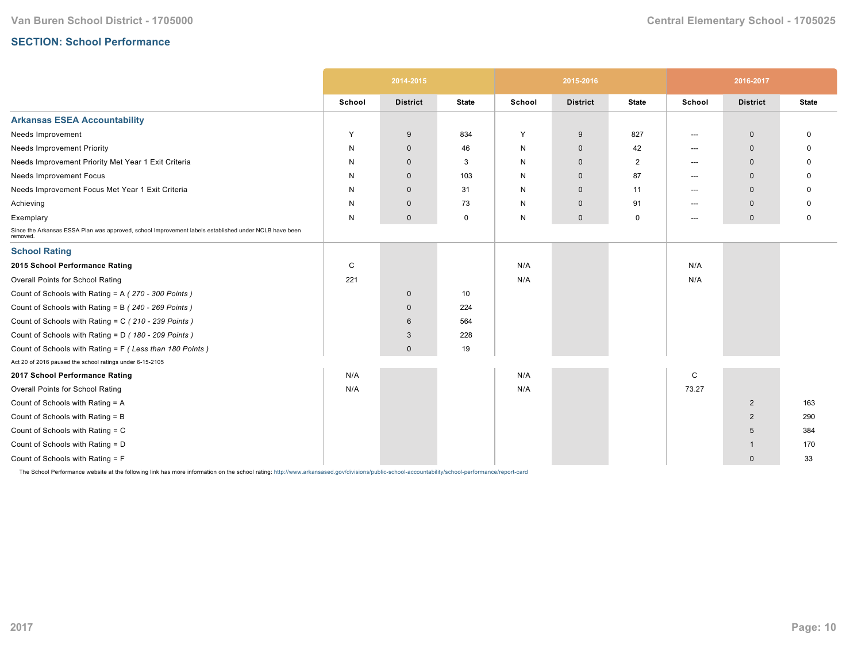## **SECTION: School Performance**

|                                                                                                                   |        | 2014-2015       |              |        | 2015-2016       |                |        | 2016-2017       |              |
|-------------------------------------------------------------------------------------------------------------------|--------|-----------------|--------------|--------|-----------------|----------------|--------|-----------------|--------------|
|                                                                                                                   | School | <b>District</b> | <b>State</b> | School | <b>District</b> | <b>State</b>   | School | <b>District</b> | <b>State</b> |
| <b>Arkansas ESEA Accountability</b>                                                                               |        |                 |              |        |                 |                |        |                 |              |
| Needs Improvement                                                                                                 | Y      | 9               | 834          | Y      | 9               | 827            | ---    | $\mathbf 0$     | 0            |
| <b>Needs Improvement Priority</b>                                                                                 | N      | $\mathbf 0$     | 46           | N      | $\mathbf 0$     | 42             | $---$  | $\Omega$        | O            |
| Needs Improvement Priority Met Year 1 Exit Criteria                                                               | N      | $\Omega$        | 3            | N      | $\mathbf{0}$    | $\overline{2}$ | $---$  | $\Omega$        | <sup>0</sup> |
| Needs Improvement Focus                                                                                           | N      | $\mathbf 0$     | 103          | N      | $\mathbf 0$     | 87             | $---$  | $\Omega$        | O            |
| Needs Improvement Focus Met Year 1 Exit Criteria                                                                  | N      | $\mathbf 0$     | 31           | N      | $\mathbf{0}$    | 11             | $---$  | $\mathbf 0$     |              |
| Achieving                                                                                                         | N      | $\mathbf 0$     | 73           | N      | $\mathbf 0$     | 91             | $---$  | $\mathbf 0$     | O            |
| Exemplary                                                                                                         | N      | $\mathbf 0$     | 0            | N      | $\mathbf 0$     | 0              | $---$  | $\mathbf 0$     | 0            |
| Since the Arkansas ESSA Plan was approved, school Improvement labels established under NCLB have been<br>removed. |        |                 |              |        |                 |                |        |                 |              |
| <b>School Rating</b>                                                                                              |        |                 |              |        |                 |                |        |                 |              |
| 2015 School Performance Rating                                                                                    | C      |                 |              | N/A    |                 |                | N/A    |                 |              |
| Overall Points for School Rating                                                                                  | 221    |                 |              | N/A    |                 |                | N/A    |                 |              |
| Count of Schools with Rating = A (270 - 300 Points)                                                               |        | $\mathbf 0$     | 10           |        |                 |                |        |                 |              |
| Count of Schools with Rating = B (240 - 269 Points)                                                               |        | $\mathbf{0}$    | 224          |        |                 |                |        |                 |              |
| Count of Schools with Rating = C (210 - 239 Points)                                                               |        | 6               | 564          |        |                 |                |        |                 |              |
| Count of Schools with Rating = D (180 - 209 Points)                                                               |        | 3               | 228          |        |                 |                |        |                 |              |
| Count of Schools with Rating = F (Less than 180 Points)                                                           |        | $\mathbf{0}$    | 19           |        |                 |                |        |                 |              |
| Act 20 of 2016 paused the school ratings under 6-15-2105                                                          |        |                 |              |        |                 |                |        |                 |              |
| 2017 School Performance Rating                                                                                    | N/A    |                 |              | N/A    |                 |                | C      |                 |              |
| Overall Points for School Rating                                                                                  | N/A    |                 |              | N/A    |                 |                | 73.27  |                 |              |
| Count of Schools with Rating = A                                                                                  |        |                 |              |        |                 |                |        | $\overline{2}$  | 163          |
| Count of Schools with Rating = B                                                                                  |        |                 |              |        |                 |                |        | $\overline{2}$  | 290          |
| Count of Schools with Rating = C                                                                                  |        |                 |              |        |                 |                |        | 5               | 384          |
| Count of Schools with Rating = D                                                                                  |        |                 |              |        |                 |                |        | -1              | 170          |
| Count of Schools with Rating = F                                                                                  |        |                 |              |        |                 |                |        | $\mathbf 0$     | 33           |

The School Performance website at the following link has more information on the school rating: http://www.arkansased.gov/divisions/public-school-accountability/school-performance/report-card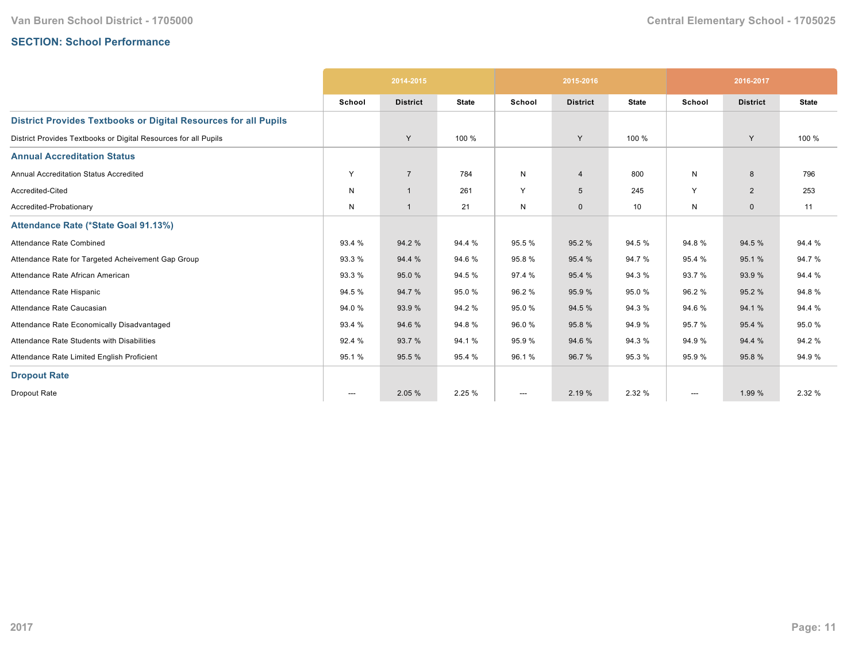# **SECTION: School Performance**

|                                                                        |        | 2014-2015       |              |              | 2015-2016       |              |                        | 2016-2017       |              |
|------------------------------------------------------------------------|--------|-----------------|--------------|--------------|-----------------|--------------|------------------------|-----------------|--------------|
|                                                                        | School | <b>District</b> | <b>State</b> | School       | <b>District</b> | <b>State</b> | School                 | <b>District</b> | <b>State</b> |
| <b>District Provides Textbooks or Digital Resources for all Pupils</b> |        |                 |              |              |                 |              |                        |                 |              |
| District Provides Textbooks or Digital Resources for all Pupils        |        | Y               | 100 %        |              | Y               | 100 %        |                        | Y               | 100 %        |
| <b>Annual Accreditation Status</b>                                     |        |                 |              |              |                 |              |                        |                 |              |
| <b>Annual Accreditation Status Accredited</b>                          | Y      | $\overline{7}$  | 784          | $\mathsf{N}$ | $\overline{4}$  | 800          | N                      | 8               | 796          |
| Accredited-Cited                                                       | N      | $\overline{1}$  | 261          | Y            | 5               | 245          | Y                      | $\overline{2}$  | 253          |
| Accredited-Probationary                                                | N      | $\overline{1}$  | 21           | N            | $\mathbf 0$     | 10           | N                      | $\mathbf{0}$    | 11           |
| Attendance Rate (*State Goal 91.13%)                                   |        |                 |              |              |                 |              |                        |                 |              |
| Attendance Rate Combined                                               | 93.4 % | 94.2 %          | 94.4 %       | 95.5 %       | 95.2 %          | 94.5 %       | 94.8%                  | 94.5 %          | 94.4 %       |
| Attendance Rate for Targeted Acheivement Gap Group                     | 93.3 % | 94.4 %          | 94.6%        | 95.8%        | 95.4 %          | 94.7%        | 95.4 %                 | 95.1%           | 94.7%        |
| Attendance Rate African American                                       | 93.3 % | 95.0%           | 94.5 %       | 97.4 %       | 95.4 %          | 94.3%        | 93.7%                  | 93.9%           | 94.4 %       |
| Attendance Rate Hispanic                                               | 94.5 % | 94.7%           | 95.0%        | 96.2%        | 95.9%           | 95.0%        | 96.2%                  | 95.2%           | 94.8%        |
| Attendance Rate Caucasian                                              | 94.0 % | 93.9 %          | 94.2%        | 95.0%        | 94.5 %          | 94.3 %       | 94.6%                  | 94.1 %          | 94.4 %       |
| Attendance Rate Economically Disadvantaged                             | 93.4 % | 94.6%           | 94.8%        | 96.0%        | 95.8%           | 94.9%        | 95.7%                  | 95.4 %          | 95.0%        |
| Attendance Rate Students with Disabilities                             | 92.4 % | 93.7%           | 94.1%        | 95.9%        | 94.6%           | 94.3%        | 94.9%                  | 94.4 %          | 94.2%        |
| Attendance Rate Limited English Proficient                             | 95.1%  | 95.5 %          | 95.4 %       | 96.1%        | 96.7 %          | 95.3%        | 95.9%                  | 95.8%           | 94.9%        |
| <b>Dropout Rate</b>                                                    |        |                 |              |              |                 |              |                        |                 |              |
| Dropout Rate                                                           | ---    | 2.05 %          | 2.25 %       | ---          | 2.19 %          | 2.32 %       | $\qquad \qquad \cdots$ | 1.99 %          | 2.32 %       |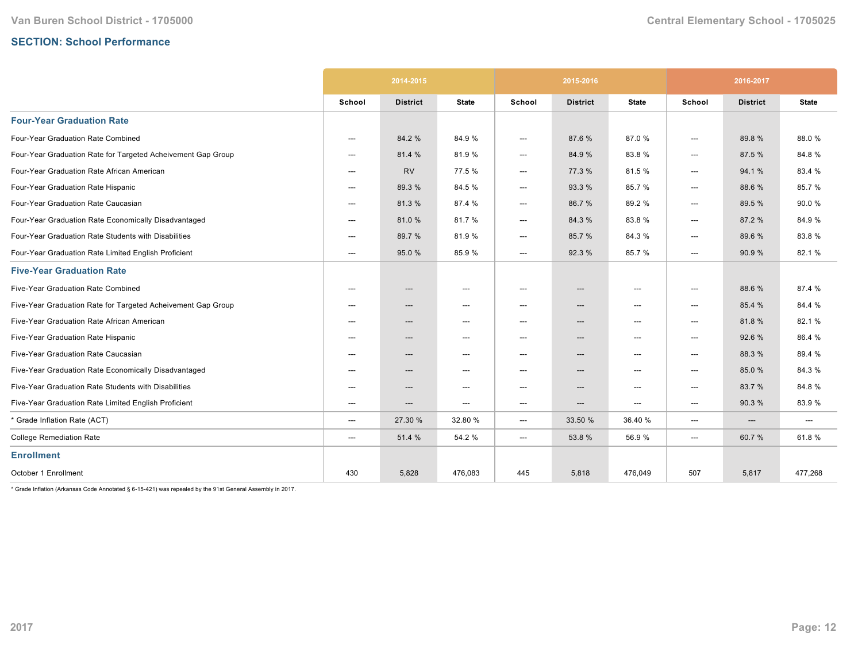## **SECTION: School Performance**

|                                                              | 2014-2015 |                 |                                   | 2015-2016 |                                   |                                     | 2016-2017              |                 |              |
|--------------------------------------------------------------|-----------|-----------------|-----------------------------------|-----------|-----------------------------------|-------------------------------------|------------------------|-----------------|--------------|
|                                                              | School    | <b>District</b> | <b>State</b>                      | School    | <b>District</b>                   | <b>State</b>                        | School                 | <b>District</b> | <b>State</b> |
| <b>Four-Year Graduation Rate</b>                             |           |                 |                                   |           |                                   |                                     |                        |                 |              |
| Four-Year Graduation Rate Combined                           | ---       | 84.2 %          | 84.9%                             | ---       | 87.6 %                            | 87.0%                               | $\qquad \qquad \cdots$ | 89.8%           | 88.0%        |
| Four-Year Graduation Rate for Targeted Acheivement Gap Group | $---$     | 81.4 %          | 81.9%                             | ---       | 84.9 %                            | 83.8%                               | ---                    | 87.5 %          | 84.8%        |
| Four-Year Graduation Rate African American                   | $---$     | <b>RV</b>       | 77.5 %                            | ---       | 77.3 %                            | 81.5%                               | $\qquad \qquad \cdots$ | 94.1%           | 83.4 %       |
| Four-Year Graduation Rate Hispanic                           | ---       | 89.3 %          | 84.5%                             | ---       | 93.3 %                            | 85.7%                               | ---                    | 88.6 %          | 85.7 %       |
| Four-Year Graduation Rate Caucasian                          | ---       | 81.3%           | 87.4 %                            | ---       | 86.7%                             | 89.2%                               | ---                    | 89.5 %          | 90.0%        |
| Four-Year Graduation Rate Economically Disadvantaged         | ---       | 81.0%           | 81.7%                             | ---       | 84.3%                             | 83.8%                               | ---                    | 87.2 %          | 84.9%        |
| Four-Year Graduation Rate Students with Disabilities         | ---       | 89.7 %          | 81.9%                             | ---       | 85.7%                             | 84.3%                               | ---                    | 89.6%           | 83.8%        |
| Four-Year Graduation Rate Limited English Proficient         | $---$     | 95.0 %          | 85.9%                             | ---       | 92.3 %                            | 85.7%                               | ---                    | 90.9 %          | 82.1%        |
| <b>Five-Year Graduation Rate</b>                             |           |                 |                                   |           |                                   |                                     |                        |                 |              |
| Five-Year Graduation Rate Combined                           | $---$     | ---             | $\hspace{0.05cm} \dashrightarrow$ | ---       | ---                               | ---                                 | ---                    | 88.6%           | 87.4 %       |
| Five-Year Graduation Rate for Targeted Acheivement Gap Group | $---$     | ---             | $\hspace{0.05cm} \dashrightarrow$ | ---       | $\hspace{0.05cm} \dashrightarrow$ | $\hspace{0.05cm} \dashrightarrow$   | ---                    | 85.4 %          | 84.4 %       |
| Five-Year Graduation Rate African American                   | ---       | ---             | $\hspace{0.05cm} \ldots$          | ---       | ---                               | $\hspace{0.05cm}---\hspace{0.05cm}$ | ---                    | 81.8%           | 82.1%        |
| Five-Year Graduation Rate Hispanic                           | ---       | ---             | $---$                             | ---       | $\hspace{0.05cm} \dashrightarrow$ | $---$                               | ---                    | 92.6%           | 86.4%        |
| Five-Year Graduation Rate Caucasian                          | $---$     | ---             | $\hspace{0.05cm} \ldots$          | ---       | ---                               | $\hspace{0.05cm}---\hspace{0.05cm}$ | ---                    | 88.3 %          | 89.4 %       |
| Five-Year Graduation Rate Economically Disadvantaged         | $---$     | ---             | $\hspace{0.05cm} \dashrightarrow$ | ---       | ---                               | ---                                 | ---                    | 85.0%           | 84.3%        |
| Five-Year Graduation Rate Students with Disabilities         | $---$     | ---             | $---$                             | $---$     | ---                               | $---$                               | ---                    | 83.7%           | 84.8%        |
| Five-Year Graduation Rate Limited English Proficient         | ---       | ---             | $\hspace{0.05cm} \ldots$          | ---       | ---                               | $\hspace{0.05cm}---\hspace{0.05cm}$ | ---                    | 90.3%           | 83.9%        |
| * Grade Inflation Rate (ACT)                                 | ---       | 27.30 %         | 32.80 %                           | ---       | 33.50 %                           | 36.40%                              | ---                    | ---             | ---          |
| <b>College Remediation Rate</b>                              | ---       | 51.4 %          | 54.2 %                            | ---       | 53.8%                             | 56.9%                               | ---                    | 60.7%           | 61.8%        |
| <b>Enrollment</b>                                            |           |                 |                                   |           |                                   |                                     |                        |                 |              |
| October 1 Enrollment                                         | 430       | 5,828           | 476,083                           | 445       | 5,818                             | 476,049                             | 507                    | 5,817           | 477,268      |

 $*$  Grade Inflation (Arkansas Code Annotated § 6-15-421) was repealed by the 91st General Assembly in 2017.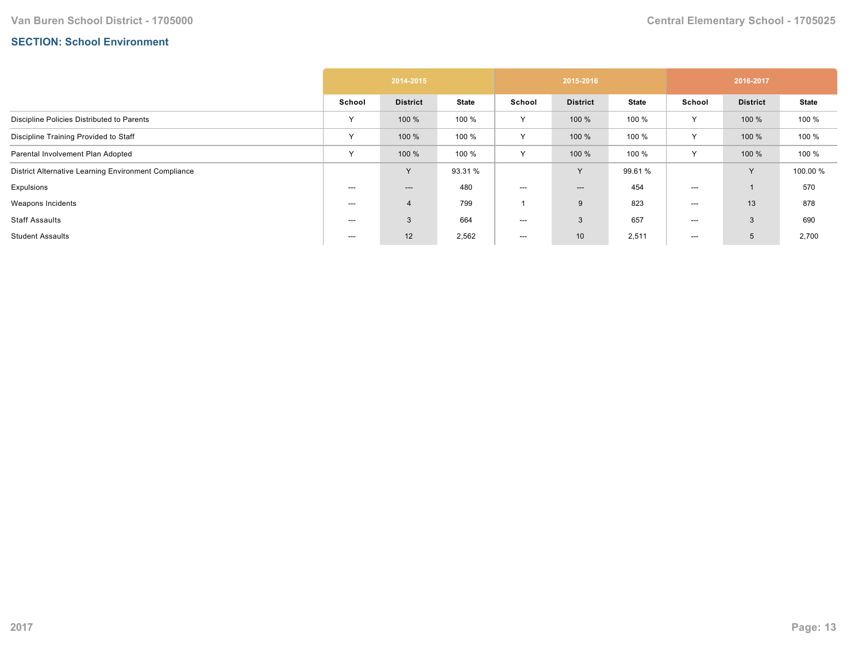## **SECTION: School Environment**

|                                                      | 2014-2015    |                 |              | 2015-2016 |                                   |              | 2016-2017    |                 |              |
|------------------------------------------------------|--------------|-----------------|--------------|-----------|-----------------------------------|--------------|--------------|-----------------|--------------|
|                                                      | School       | <b>District</b> | <b>State</b> | School    | <b>District</b>                   | <b>State</b> | School       | <b>District</b> | <b>State</b> |
| Discipline Policies Distributed to Parents           | $\checkmark$ | 100 %           | 100 %        | Y         | 100 %                             | 100 %        | Y            | 100 %           | 100 %        |
| Discipline Training Provided to Staff                | $\checkmark$ | 100 %           | 100 %        | Y         | 100 %                             | 100 %        |              | 100 %           | 100 %        |
| Parental Involvement Plan Adopted                    | $\checkmark$ | 100 %           | 100 %        | Y         | 100 %                             | 100 %        | $\checkmark$ | 100 %           | 100 %        |
| District Alternative Learning Environment Compliance |              | <b>V</b>        | 93.31 %      |           | Y                                 | 99.61 %      |              | Y               | 100.00 %     |
| Expulsions                                           | ---          | ---             | 480          | ---       | $\hspace{0.05cm} \dashrightarrow$ | 454          | ---          |                 | 570          |
| Weapons Incidents                                    | ---          | 4               | 799          |           | 9                                 | 823          | ---          | 13              | 878          |
| <b>Staff Assaults</b>                                | $---$        | 3               | 664          | $---$     | 3                                 | 657          | ---          | 3               | 690          |
| <b>Student Assaults</b>                              | ---          | 12              | 2,562        | $--$      | 10                                | 2,511        | $--$         | 5               | 2,700        |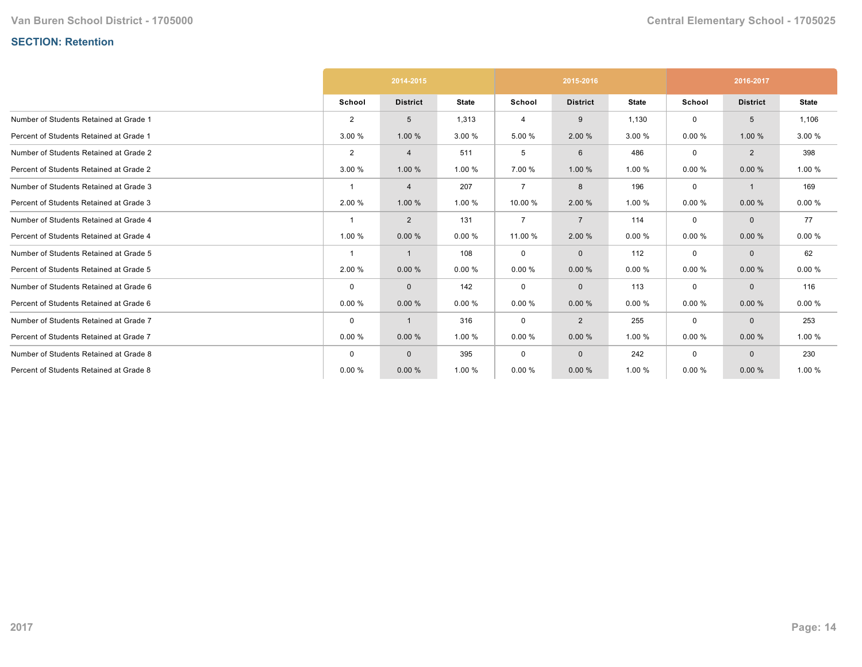# **SECTION: Retention**

|                                         | 2014-2015      |                 |              |                | 2015-2016       |              | 2016-2017 |                 |              |
|-----------------------------------------|----------------|-----------------|--------------|----------------|-----------------|--------------|-----------|-----------------|--------------|
|                                         | School         | <b>District</b> | <b>State</b> | School         | <b>District</b> | <b>State</b> | School    | <b>District</b> | <b>State</b> |
| Number of Students Retained at Grade 1  | $\overline{2}$ | 5               | 1,313        | 4              | 9               | 1,130        | 0         | 5               | 1,106        |
| Percent of Students Retained at Grade 1 | 3.00 %         | 1.00 %          | 3.00 %       | 5.00 %         | 2.00 %          | 3.00 %       | 0.00%     | 1.00 %          | 3.00 %       |
| Number of Students Retained at Grade 2  | $\overline{2}$ | $\overline{4}$  | 511          | 5              | 6               | 486          | 0         | $\overline{2}$  | 398          |
| Percent of Students Retained at Grade 2 | 3.00 %         | 1.00 %          | 1.00 %       | 7.00 %         | 1.00 %          | 1.00 %       | 0.00%     | 0.00%           | 1.00 %       |
| Number of Students Retained at Grade 3  |                | $\overline{4}$  | 207          | $\overline{7}$ | 8               | 196          | 0         |                 | 169          |
| Percent of Students Retained at Grade 3 | 2.00 %         | 1.00 %          | 1.00 %       | 10.00 %        | 2.00 %          | 1.00 %       | 0.00%     | 0.00%           | 0.00%        |
| Number of Students Retained at Grade 4  | -1             | $\overline{2}$  | 131          | $\overline{7}$ | $\overline{7}$  | 114          | 0         | $\mathbf{0}$    | 77           |
| Percent of Students Retained at Grade 4 | 1.00 %         | 0.00%           | 0.00%        | 11.00 %        | 2.00 %          | 0.00%        | 0.00%     | 0.00%           | 0.00%        |
| Number of Students Retained at Grade 5  | $\overline{1}$ |                 | 108          | 0              | $\mathbf{0}$    | 112          | 0         | $\mathbf{0}$    | 62           |
| Percent of Students Retained at Grade 5 | 2.00 %         | 0.00%           | 0.00%        | 0.00%          | 0.00%           | 0.00%        | 0.00%     | 0.00%           | 0.00%        |
| Number of Students Retained at Grade 6  | $\mathbf 0$    | $\mathbf 0$     | 142          | 0              | $\mathbf{0}$    | 113          | 0         | $\mathbf{0}$    | 116          |
| Percent of Students Retained at Grade 6 | 0.00%          | 0.00%           | 0.00%        | 0.00%          | 0.00%           | 0.00%        | 0.00%     | 0.00%           | 0.00%        |
| Number of Students Retained at Grade 7  | $\mathbf 0$    |                 | 316          | $\mathbf 0$    | $\overline{2}$  | 255          | 0         | $\mathbf 0$     | 253          |
| Percent of Students Retained at Grade 7 | 0.00%          | 0.00%           | 1.00 %       | 0.00%          | 0.00%           | 1.00 %       | 0.00%     | 0.00%           | 1.00 %       |
| Number of Students Retained at Grade 8  | 0              | $\mathbf{0}$    | 395          | 0              | $\mathbf{0}$    | 242          | 0         | $\mathbf{0}$    | 230          |
| Percent of Students Retained at Grade 8 | 0.00%          | 0.00%           | 1.00 %       | 0.00%          | 0.00%           | 1.00 %       | 0.00%     | 0.00%           | 1.00 %       |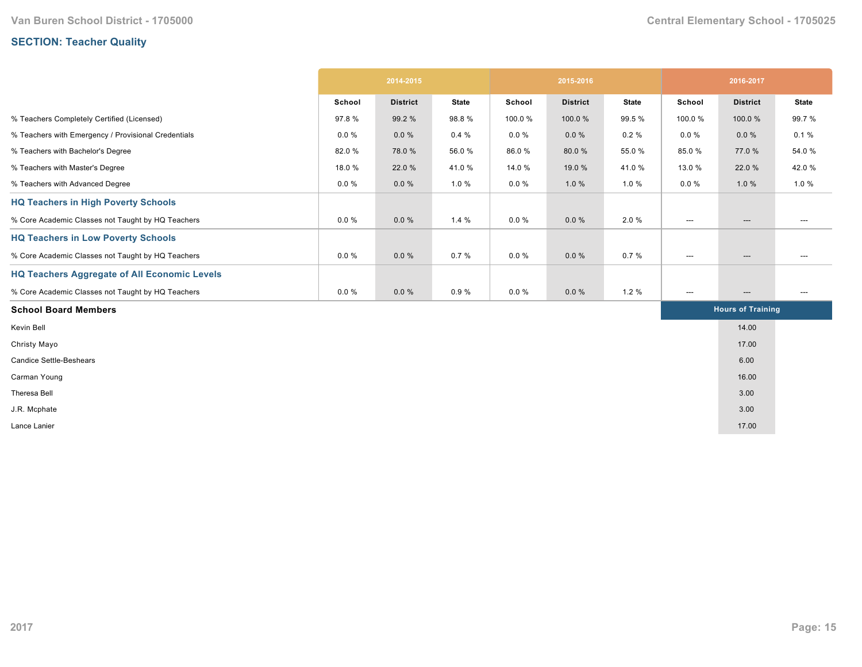# **SECTION: Teacher Quality**

|                                                     | 2014-2015 |                 | 2015-2016    |          |                 | 2016-2017    |                          |                          |              |
|-----------------------------------------------------|-----------|-----------------|--------------|----------|-----------------|--------------|--------------------------|--------------------------|--------------|
|                                                     | School    | <b>District</b> | <b>State</b> | School   | <b>District</b> | <b>State</b> | School                   | <b>District</b>          | <b>State</b> |
| % Teachers Completely Certified (Licensed)          | 97.8%     | 99.2 %          | 98.8%        | 100.0%   | 100.0%          | 99.5 %       | 100.0%                   | 100.0%                   | 99.7 %       |
| % Teachers with Emergency / Provisional Credentials | $0.0 \%$  | 0.0%            | 0.4%         | $0.0 \%$ | $0.0 \%$        | 0.2%         | $0.0 \%$                 | 0.0%                     | 0.1%         |
| % Teachers with Bachelor's Degree                   | 82.0%     | 78.0%           | 56.0%        | 86.0%    | 80.0%           | 55.0%        | 85.0%                    | 77.0 %                   | 54.0%        |
| % Teachers with Master's Degree                     | 18.0%     | 22.0 %          | 41.0%        | 14.0 %   | 19.0 %          | 41.0%        | 13.0 %                   | 22.0 %                   | 42.0%        |
| % Teachers with Advanced Degree                     | $0.0 \%$  | $0.0 \%$        | 1.0 %        | $0.0 \%$ | 1.0%            | 1.0 %        | $0.0 \%$                 | 1.0%                     | 1.0%         |
| <b>HQ Teachers in High Poverty Schools</b>          |           |                 |              |          |                 |              |                          |                          |              |
| % Core Academic Classes not Taught by HQ Teachers   | $0.0 \%$  | 0.0%            | 1.4%         | $0.0 \%$ | $0.0 \%$        | 2.0%         | $\hspace{0.05cm} \ldots$ | $\hspace{0.05cm} \ldots$ | $---$        |
| <b>HQ Teachers in Low Poverty Schools</b>           |           |                 |              |          |                 |              |                          |                          |              |
| % Core Academic Classes not Taught by HQ Teachers   | $0.0 \%$  | 0.0%            | 0.7%         | $0.0 \%$ | $0.0 \%$        | 0.7%         | ---                      | $\hspace{0.05cm} \ldots$ | ---          |
| <b>HQ Teachers Aggregate of All Economic Levels</b> |           |                 |              |          |                 |              |                          |                          |              |
| % Core Academic Classes not Taught by HQ Teachers   | $0.0 \%$  | $0.0 \%$        | 0.9%         | $0.0 \%$ | $0.0 \%$        | 1.2%         | ---                      | $\hspace{0.05cm} \ldots$ | ---          |
| <b>School Board Members</b>                         |           |                 |              |          |                 |              |                          | <b>Hours of Training</b> |              |
| Kevin Bell                                          |           |                 |              |          |                 |              |                          | 14.00                    |              |
| Christy Mayo                                        |           |                 |              |          |                 |              |                          | 17.00                    |              |
| <b>Candice Settle-Beshears</b>                      |           |                 |              |          |                 |              |                          | 6.00                     |              |
| Carman Young                                        |           |                 |              |          |                 |              |                          | 16.00                    |              |
| Theresa Bell                                        |           |                 |              |          |                 |              |                          | 3.00                     |              |
| J.R. Mcphate                                        |           |                 |              |          |                 |              |                          | 3.00                     |              |
| Lance Lanier                                        |           |                 |              |          |                 |              |                          | 17.00                    |              |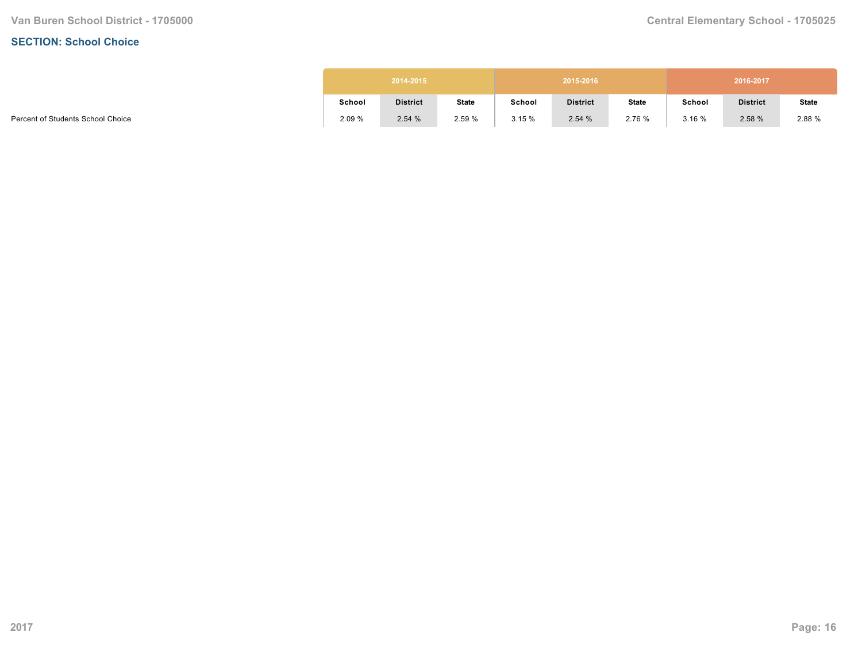#### **SECTION: School Choice**

|        | 2014-2015<br>2015-2016<br>2016-2017 |              |        |                 |              |        |                 |              |
|--------|-------------------------------------|--------------|--------|-----------------|--------------|--------|-----------------|--------------|
| School | <b>District</b>                     | <b>State</b> | School | <b>District</b> | <b>State</b> | School | <b>District</b> | <b>State</b> |
| 2.09%  | 2.54%                               | 2.59 %       | 3.15%  | 2.54%           | 2.76 %       | 3.16%  | 2.58%           | 2.88 %       |

Percent of Students School Choice